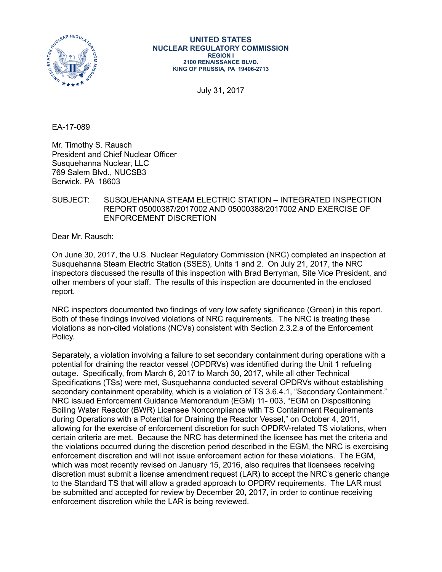

#### **UNITED STATES NUCLEAR REGULATORY COMMISSION REGION I 2100 RENAISSANCE BLVD. KING OF PRUSSIA, PA 19406-2713**

July 31, 2017

EA-17-089

Mr. Timothy S. Rausch President and Chief Nuclear Officer Susquehanna Nuclear, LLC 769 Salem Blvd., NUCSB3 Berwick, PA 18603

# SUBJECT: SUSQUEHANNA STEAM ELECTRIC STATION – INTEGRATED INSPECTION REPORT 05000387/2017002 AND 05000388/2017002 AND EXERCISE OF ENFORCEMENT DISCRETION

Dear Mr. Rausch:

On June 30, 2017, the U.S. Nuclear Regulatory Commission (NRC) completed an inspection at Susquehanna Steam Electric Station (SSES), Units 1 and 2. On July 21, 2017, the NRC inspectors discussed the results of this inspection with Brad Berryman, Site Vice President, and other members of your staff. The results of this inspection are documented in the enclosed report.

NRC inspectors documented two findings of very low safety significance (Green) in this report. Both of these findings involved violations of NRC requirements. The NRC is treating these violations as non-cited violations (NCVs) consistent with Section 2.3.2.a of the Enforcement Policy.

Separately, a violation involving a failure to set secondary containment during operations with a potential for draining the reactor vessel (OPDRVs) was identified during the Unit 1 refueling outage. Specifically, from March 6, 2017 to March 30, 2017, while all other Technical Specifications (TSs) were met, Susquehanna conducted several OPDRVs without establishing secondary containment operability, which is a violation of TS 3.6.4.1, "Secondary Containment." NRC issued Enforcement Guidance Memorandum (EGM) 11- 003, "EGM on Dispositioning Boiling Water Reactor (BWR) Licensee Noncompliance with TS Containment Requirements during Operations with a Potential for Draining the Reactor Vessel," on October 4, 2011, allowing for the exercise of enforcement discretion for such OPDRV-related TS violations, when certain criteria are met. Because the NRC has determined the licensee has met the criteria and the violations occurred during the discretion period described in the EGM, the NRC is exercising enforcement discretion and will not issue enforcement action for these violations. The EGM, which was most recently revised on January 15, 2016, also requires that licensees receiving discretion must submit a license amendment request (LAR) to accept the NRC's generic change to the Standard TS that will allow a graded approach to OPDRV requirements. The LAR must be submitted and accepted for review by December 20, 2017, in order to continue receiving enforcement discretion while the LAR is being reviewed.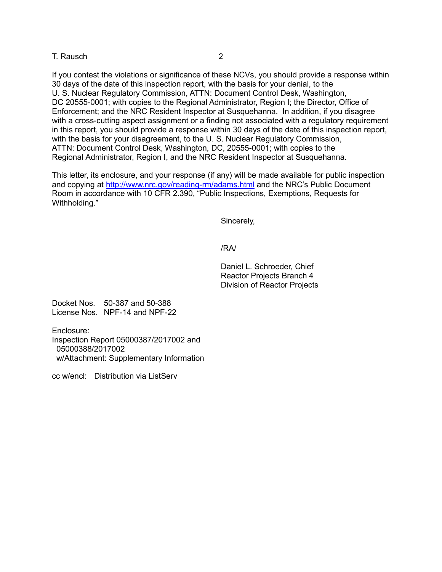### T. Rausch 2

If you contest the violations or significance of these NCVs, you should provide a response within 30 days of the date of this inspection report, with the basis for your denial, to the U. S. Nuclear Regulatory Commission, ATTN: Document Control Desk, Washington, DC 20555-0001; with copies to the Regional Administrator, Region I; the Director, Office of Enforcement; and the NRC Resident Inspector at Susquehanna. In addition, if you disagree with a cross-cutting aspect assignment or a finding not associated with a regulatory requirement in this report, you should provide a response within 30 days of the date of this inspection report, with the basis for your disagreement, to the U. S. Nuclear Regulatory Commission, ATTN: Document Control Desk, Washington, DC, 20555-0001; with copies to the Regional Administrator, Region I, and the NRC Resident Inspector at Susquehanna.

This letter, its enclosure, and your response (if any) will be made available for public inspection and copying at<http://www.nrc.gov/reading-rm/adams.html> and the NRC's Public Document Room in accordance with 10 CFR 2.390, "Public Inspections, Exemptions, Requests for Withholding."

Sincerely,

/RA/

Daniel L. Schroeder, Chief Reactor Projects Branch 4 Division of Reactor Projects

Docket Nos. 50-387 and 50-388 License Nos. NPF-14 and NPF-22

Enclosure: Inspection Report 05000387/2017002 and 05000388/2017002

w/Attachment: Supplementary Information

cc w/encl: Distribution via ListServ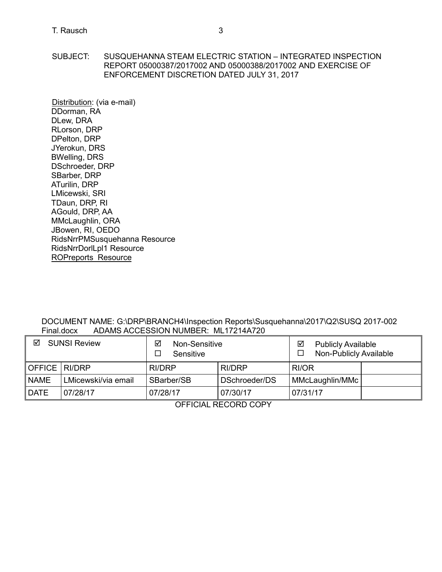SUBJECT: SUSQUEHANNA STEAM ELECTRIC STATION – INTEGRATED INSPECTION REPORT 05000387/2017002 AND 05000388/2017002 AND EXERCISE OF ENFORCEMENT DISCRETION DATED JULY 31, 2017

Distribution: (via e-mail) DDorman, RA DLew, DRA RLorson, DRP DPelton, DRP JYerokun, DRS BWelling, DRS DSchroeder, DRP SBarber, DRP ATurilin, DRP LMicewski, SRI TDaun, DRP, RI AGould, DRP, AA MMcLaughlin, ORA JBowen, RI, OEDO RidsNrrPMSusquehanna Resource RidsNrrDorlLpl1 Resource ROPreports Resource

DOCUMENT NAME: G:\DRP\BRANCH4\Inspection Reports\Susquehanna\2017\Q2\SUSQ 2017-002<br>Final.docx ADAMS ACCESSION NUMBER: ML17214A720 ADAMS ACCESSION NUMBER: ML17214A720

| ☑<br><b>SUNSI Review</b> |                     | ☑<br>Non-Sensitive<br>Sensitive |               | ☑        | <b>Publicly Available</b><br>Non-Publicly Available |  |
|--------------------------|---------------------|---------------------------------|---------------|----------|-----------------------------------------------------|--|
| OFFICE   RI/DRP          |                     | RI/DRP                          | RI/DRP        | RI/OR    |                                                     |  |
| <b>NAME</b>              | LMicewski/via email | SBarber/SB                      | DSchroeder/DS |          | MMcLaughlin/MMc                                     |  |
| <b>DATE</b>              | 07/28/17            | 07/28/17                        | 07/30/17      | 07/31/17 |                                                     |  |

OFFICIAL RECORD COPY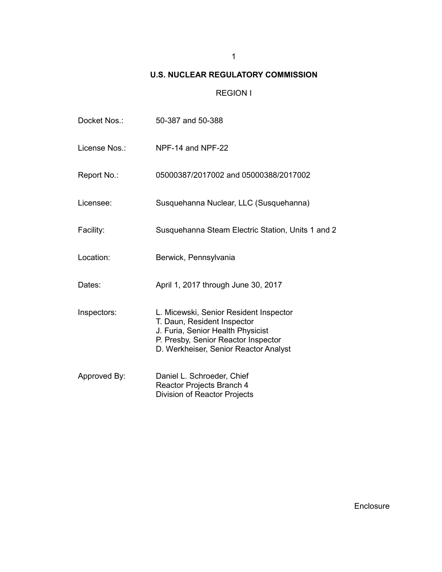# **U.S. NUCLEAR REGULATORY COMMISSION**

# REGION I

| Docket Nos.:  | 50-387 and 50-388                                                                                                                                                                          |
|---------------|--------------------------------------------------------------------------------------------------------------------------------------------------------------------------------------------|
| License Nos.: | NPF-14 and NPF-22                                                                                                                                                                          |
| Report No.:   | 05000387/2017002 and 05000388/2017002                                                                                                                                                      |
| Licensee:     | Susquehanna Nuclear, LLC (Susquehanna)                                                                                                                                                     |
| Facility:     | Susquehanna Steam Electric Station, Units 1 and 2                                                                                                                                          |
| Location:     | Berwick, Pennsylvania                                                                                                                                                                      |
| Dates:        | April 1, 2017 through June 30, 2017                                                                                                                                                        |
| Inspectors:   | L. Micewski, Senior Resident Inspector<br>T. Daun, Resident Inspector<br>J. Furia, Senior Health Physicist<br>P. Presby, Senior Reactor Inspector<br>D. Werkheiser, Senior Reactor Analyst |
| Approved By:  | Daniel L. Schroeder, Chief<br>Reactor Projects Branch 4<br><b>Division of Reactor Projects</b>                                                                                             |

Enclosure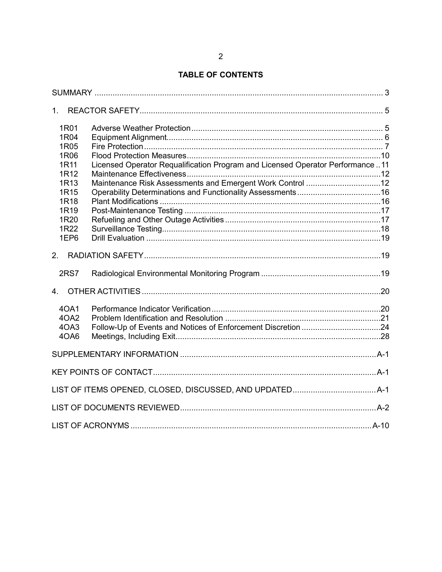# **TABLE OF CONTENTS**

| 1 <sub>1</sub>   |                                                                               |  |
|------------------|-------------------------------------------------------------------------------|--|
| 1R01             |                                                                               |  |
| 1R04             |                                                                               |  |
| 1R05             |                                                                               |  |
| 1R06             |                                                                               |  |
| 1R11             | Licensed Operator Requalification Program and Licensed Operator Performance11 |  |
| 1R12             |                                                                               |  |
| 1R13             | Maintenance Risk Assessments and Emergent Work Control 12                     |  |
| 1R15             |                                                                               |  |
| 1R18             |                                                                               |  |
| 1R <sub>19</sub> |                                                                               |  |
| 1R20             |                                                                               |  |
| 1R22             |                                                                               |  |
| 1EP6             |                                                                               |  |
|                  |                                                                               |  |
| 2RS7             |                                                                               |  |
| $\overline{4}$   |                                                                               |  |
| 40A1             |                                                                               |  |
| 4OA2             |                                                                               |  |
| 4OA3             |                                                                               |  |
| 4OA6             |                                                                               |  |
|                  |                                                                               |  |
|                  |                                                                               |  |
|                  |                                                                               |  |
|                  |                                                                               |  |
|                  |                                                                               |  |
|                  |                                                                               |  |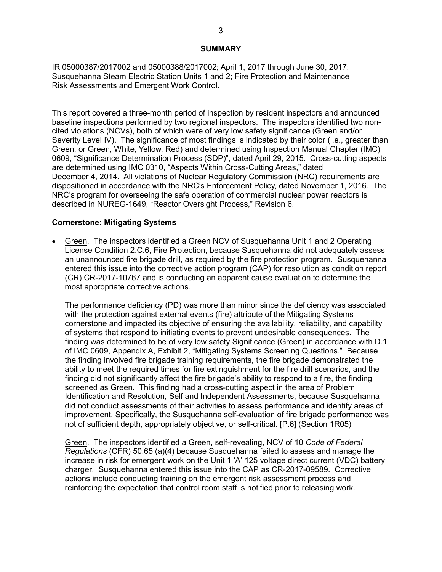#### **SUMMARY**

<span id="page-5-0"></span>IR 05000387/2017002 and 05000388/2017002; April 1, 2017 through June 30, 2017; Susquehanna Steam Electric Station Units 1 and 2; Fire Protection and [Maintenance](#page-35-0)  Risk [Assessments and Emergent Work Control.](#page-35-0)

This report covered a three-month period of inspection by resident inspectors and announced baseline inspections performed by two regional inspectors. The inspectors identified two noncited violations (NCVs), both of which were of very low safety significance (Green and/or Severity Level IV). The significance of most findings is indicated by their color (i.e., greater than Green, or Green, White, Yellow, Red) and determined using Inspection Manual Chapter (IMC) 0609, "Significance Determination Process (SDP)", dated April 29, 2015. Cross-cutting aspects are determined using IMC 0310, "Aspects Within Cross-Cutting Areas," dated December 4, 2014. All violations of Nuclear Regulatory Commission (NRC) requirements are dispositioned in accordance with the NRC's Enforcement Policy, dated November 1, 2016. The NRC's program for overseeing the safe operation of commercial nuclear power reactors is described in NUREG-1649, "Reactor Oversight Process," Revision 6.

### **Cornerstone: Mitigating Systems**

• Green. The inspectors identified a Green NCV of Susquehanna Unit 1 and 2 Operating License Condition 2.C.6, Fire Protection, because Susquehanna did not adequately assess an unannounced fire brigade drill, as required by the fire protection program. Susquehanna entered this issue into the corrective action program (CAP) for resolution as condition report (CR) CR-2017-10767 and is conducting an apparent cause evaluation to determine the most appropriate corrective actions.

The performance deficiency (PD) was more than minor since the deficiency was associated with the protection against external events (fire) attribute of the Mitigating Systems cornerstone and impacted its objective of ensuring the availability, reliability, and capability of systems that respond to initiating events to prevent undesirable consequences. The finding was determined to be of very low safety Significance (Green) in accordance with D.1 of IMC 0609, Appendix A, Exhibit 2, "Mitigating Systems Screening Questions." Because the finding involved fire brigade training requirements, the fire brigade demonstrated the ability to meet the required times for fire extinguishment for the fire drill scenarios, and the finding did not significantly affect the fire brigade's ability to respond to a fire, the finding screened as Green. This finding had a cross-cutting aspect in the area of Problem Identification and Resolution, Self and Independent Assessments, because Susquehanna did not conduct assessments of their activities to assess performance and identify areas of improvement. Specifically, the Susquehanna self-evaluation of fire brigade performance was not of sufficient depth, appropriately objective, or self-critical. [P.6] (Section 1R05)

Green. The inspectors identified a Green, self-revealing, NCV of 10 *Code of Federal Regulations* (CFR) 50.65 (a)(4) because Susquehanna failed to assess and manage the increase in risk for emergent work on the Unit 1 'A' 125 voltage direct current (VDC) battery charger. Susquehanna entered this issue into the CAP as CR-2017-09589. Corrective actions include conducting training on the emergent risk assessment process and reinforcing the expectation that control room staff is notified prior to releasing work.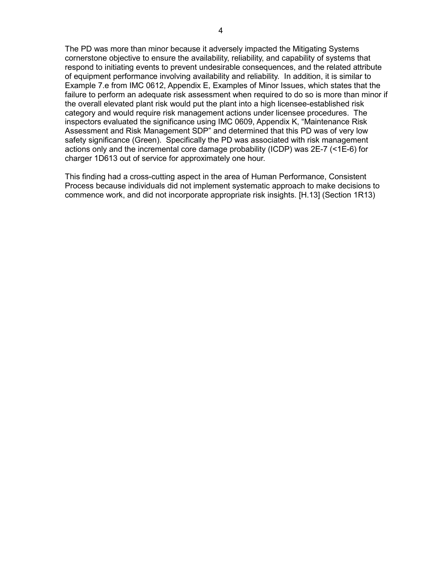The PD was more than minor because it adversely impacted the Mitigating Systems cornerstone objective to ensure the availability, reliability, and capability of systems that respond to initiating events to prevent undesirable consequences, and the related attribute of equipment performance involving availability and reliability. In addition, it is similar to Example 7.e from IMC 0612, Appendix E, Examples of Minor Issues, which states that the failure to perform an adequate risk assessment when required to do so is more than minor if the overall elevated plant risk would put the plant into a high licensee-established risk category and would require risk management actions under licensee procedures. The inspectors evaluated the significance using IMC 0609, Appendix K, "Maintenance Risk Assessment and Risk Management SDP" and determined that this PD was of very low safety significance (Green). Specifically the PD was associated with risk management actions only and the incremental core damage probability (ICDP) was 2E-7 (<1E-6) for charger 1D613 out of service for approximately one hour.

This finding had a cross-cutting aspect in the area of Human Performance, Consistent Process because individuals did not implement systematic approach to make decisions to commence work, and did not incorporate appropriate risk insights. [H.13] (Section 1R13)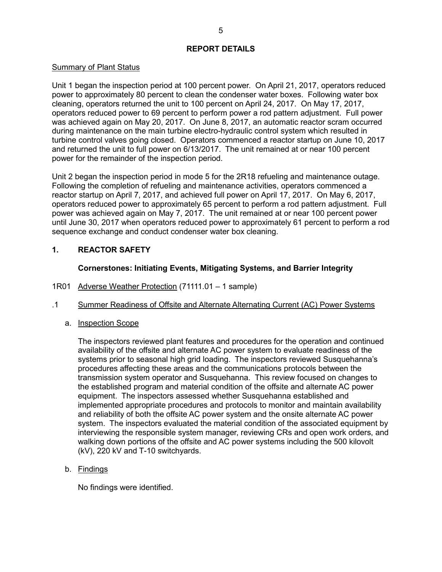### **REPORT DETAILS**

### Summary of Plant Status

Unit 1 began the inspection period at 100 percent power. On April 21, 2017, operators reduced power to approximately 80 percent to clean the condenser water boxes. Following water box cleaning, operators returned the unit to 100 percent on April 24, 2017. On May 17, 2017, operators reduced power to 69 percent to perform power a rod pattern adjustment. Full power was achieved again on May 20, 2017. On June 8, 2017, an automatic reactor scram occurred during maintenance on the main turbine electro-hydraulic control system which resulted in turbine control valves going closed. Operators commenced a reactor startup on June 10, 2017 and returned the unit to full power on 6/13/2017. The unit remained at or near 100 percent power for the remainder of the inspection period.

Unit 2 began the inspection period in mode 5 for the 2R18 refueling and maintenance outage. Following the completion of refueling and maintenance activities, operators commenced a reactor startup on April 7, 2017, and achieved full power on April 17, 2017. On May 6, 2017, operators reduced power to approximately 65 percent to perform a rod pattern adjustment. Full power was achieved again on May 7, 2017. The unit remained at or near 100 percent power until June 30, 2017 when operators reduced power to approximately 61 percent to perform a rod sequence exchange and conduct condenser water box cleaning.

# <span id="page-7-0"></span>**1. REACTOR SAFETY**

# <span id="page-7-2"></span>**Cornerstones: Initiating Events, Mitigating Systems, and Barrier Integrity**

- <span id="page-7-1"></span>1R01 [Adverse Weather Protection](#page-32-1) (71111.01 – 1 sample)
- .1 Summer Readiness of Offsite and Alternate Alternating Current (AC) Power Systems
	- a. Inspection Scope

The inspectors reviewed plant features and procedures for the operation and continued availability of the offsite and alternate AC power system to evaluate readiness of the systems prior to seasonal high grid loading. The inspectors reviewed Susquehanna's procedures affecting these areas and the communications protocols between the transmission system operator and Susquehanna. This review focused on changes to the established program and material condition of the offsite and alternate AC power equipment. The inspectors assessed whether Susquehanna established and implemented appropriate procedures and protocols to monitor and maintain availability and reliability of both the offsite AC power system and the onsite alternate AC power system. The inspectors evaluated the material condition of the associated equipment by interviewing the responsible system manager, reviewing CRs and open work orders, and walking down portions of the offsite and AC power systems including the 500 kilovolt (kV), 220 kV and T-10 switchyards.

b. Findings

No findings were identified.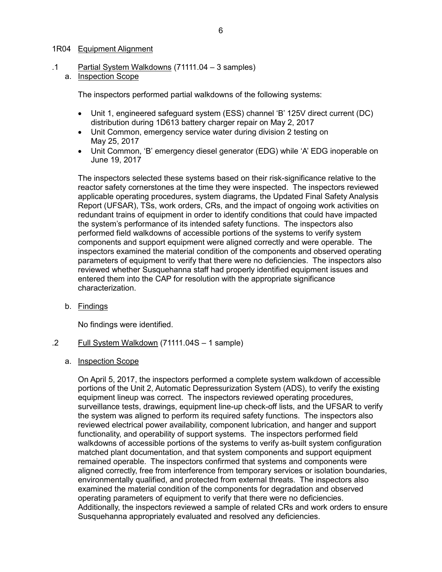### <span id="page-8-1"></span><span id="page-8-0"></span>1R04 [Equipment Alignment](#page-32-2)

- .1 Partial System Walkdowns (71111.04 3 samples)
	- a. Inspection Scope

The inspectors performed partial walkdowns of the following systems:

- Unit 1, engineered safeguard system (ESS) channel 'B' 125V direct current (DC) distribution during 1D613 battery charger repair on May 2, 2017
- Unit Common, emergency service water during division 2 testing on May 25, 2017
- Unit Common, 'B' emergency diesel generator (EDG) while 'A' EDG inoperable on June 19, 2017

The inspectors selected these systems based on their risk-significance relative to the reactor safety cornerstones at the time they were inspected. The inspectors reviewed applicable operating procedures, system diagrams, the Updated Final Safety Analysis Report (UFSAR), TSs, work orders, CRs, and the impact of ongoing work activities on redundant trains of equipment in order to identify conditions that could have impacted the system's performance of its intended safety functions. The inspectors also performed field walkdowns of accessible portions of the systems to verify system components and support equipment were aligned correctly and were operable. The inspectors examined the material condition of the components and observed operating parameters of equipment to verify that there were no deficiencies. The inspectors also reviewed whether Susquehanna staff had properly identified equipment issues and entered them into the CAP for resolution with the appropriate significance characterization.

b. Findings

No findings were identified.

- .2 Full System Walkdown (71111.04S 1 sample)
	- a. Inspection Scope

On April 5, 2017, the inspectors performed a complete system walkdown of accessible portions of the Unit 2, Automatic Depressurization System (ADS), to verify the existing equipment lineup was correct. The inspectors reviewed operating procedures, surveillance tests, drawings, equipment line-up check-off lists, and the UFSAR to verify the system was aligned to perform its required safety functions. The inspectors also reviewed electrical power availability, component lubrication, and hanger and support functionality, and operability of support systems. The inspectors performed field walkdowns of accessible portions of the systems to verify as-built system configuration matched plant documentation, and that system components and support equipment remained operable. The inspectors confirmed that systems and components were aligned correctly, free from interference from temporary services or isolation boundaries, environmentally qualified, and protected from external threats. The inspectors also examined the material condition of the components for degradation and observed operating parameters of equipment to verify that there were no deficiencies. Additionally, the inspectors reviewed a sample of related CRs and work orders to ensure Susquehanna appropriately evaluated and resolved any deficiencies.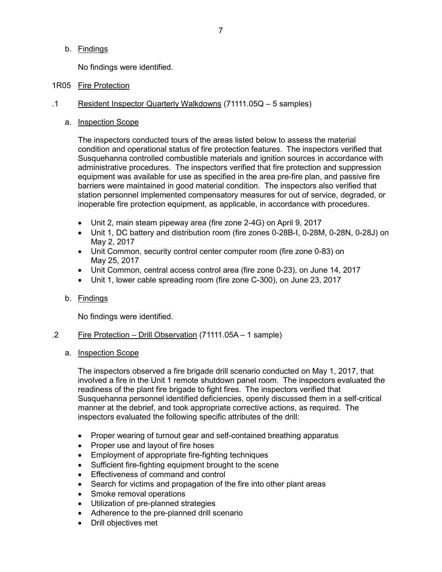b. Findings

<span id="page-9-1"></span>No findings were identified.

# <span id="page-9-0"></span>1R05 [Fire Protection](#page-33-0)

- .1 Resident Inspector Quarterly Walkdowns (71111.05Q 5 samples)
	- a. Inspection Scope

The inspectors conducted tours of the areas listed below to assess the material condition and operational status of fire protection features. The inspectors verified that Susquehanna controlled combustible materials and ignition sources in accordance with administrative procedures. The inspectors verified that fire protection and suppression equipment was available for use as specified in the area pre-fire plan, and passive fire barriers were maintained in good material condition. The inspectors also verified that station personnel implemented compensatory measures for out of service, degraded, or inoperable fire protection equipment, as applicable, in accordance with procedures.

- Unit 2, main steam pipeway area (fire zone 2-4G) on April 9, 2017
- Unit 1, DC battery and distribution room (fire zones 0-28B-I, 0-28M, 0-28N, 0-28J) on May 2, 2017
- Unit Common, security control center computer room (fire zone 0-83) on May 25, 2017
- Unit Common, central access control area (fire zone 0-23), on June 14, 2017
- Unit 1, lower cable spreading room (fire zone C-300), on June 23, 2017

### b. Findings

No findings were identified.

### .2 Fire Protection – Drill Observation (71111.05A – 1 sample)

### a. Inspection Scope

The inspectors observed a fire brigade drill scenario conducted on May 1, 2017, that involved a fire in the Unit 1 remote shutdown panel room. The inspectors evaluated the readiness of the plant fire brigade to fight fires. The inspectors verified that Susquehanna personnel identified deficiencies, openly discussed them in a self-critical manner at the debrief, and took appropriate corrective actions, as required. The inspectors evaluated the following specific attributes of the drill:

- Proper wearing of turnout gear and self-contained breathing apparatus
- Proper use and layout of fire hoses
- Employment of appropriate fire-fighting techniques
- Sufficient fire-fighting equipment brought to the scene
- Effectiveness of command and control
- Search for victims and propagation of the fire into other plant areas
- Smoke removal operations
- Utilization of pre-planned strategies
- Adherence to the pre-planned drill scenario
- Drill objectives met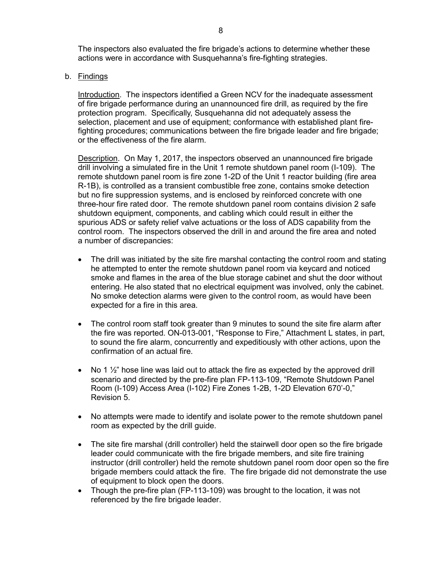The inspectors also evaluated the fire brigade's actions to determine whether these actions were in accordance with Susquehanna's fire-fighting strategies.

b. Findings

Introduction. The inspectors identified a Green NCV for the inadequate assessment of fire brigade performance during an unannounced fire drill, as required by the fire protection program. Specifically, Susquehanna did not adequately assess the selection, placement and use of equipment; conformance with established plant firefighting procedures; communications between the fire brigade leader and fire brigade; or the effectiveness of the fire alarm.

Description. On May 1, 2017, the inspectors observed an unannounced fire brigade drill involving a simulated fire in the Unit 1 remote shutdown panel room (I-109). The remote shutdown panel room is fire zone 1-2D of the Unit 1 reactor building (fire area R-1B), is controlled as a transient combustible free zone, contains smoke detection but no fire suppression systems, and is enclosed by reinforced concrete with one three-hour fire rated door. The remote shutdown panel room contains division 2 safe shutdown equipment, components, and cabling which could result in either the spurious ADS or safety relief valve actuations or the loss of ADS capability from the control room. The inspectors observed the drill in and around the fire area and noted a number of discrepancies:

- The drill was initiated by the site fire marshal contacting the control room and stating he attempted to enter the remote shutdown panel room via keycard and noticed smoke and flames in the area of the blue storage cabinet and shut the door without entering. He also stated that no electrical equipment was involved, only the cabinet. No smoke detection alarms were given to the control room, as would have been expected for a fire in this area.
- The control room staff took greater than 9 minutes to sound the site fire alarm after the fire was reported. ON-013-001, "Response to Fire," Attachment L states, in part, to sound the fire alarm, concurrently and expeditiously with other actions, upon the confirmation of an actual fire.
- No 1  $\frac{1}{2}$ " hose line was laid out to attack the fire as expected by the approved drill scenario and directed by the pre-fire plan FP-113-109, "Remote Shutdown Panel Room (I-109) Access Area (I-102) Fire Zones 1-2B, 1-2D Elevation 670'-0," Revision 5.
- No attempts were made to identify and isolate power to the remote shutdown panel room as expected by the drill guide.
- The site fire marshal (drill controller) held the stairwell door open so the fire brigade leader could communicate with the fire brigade members, and site fire training instructor (drill controller) held the remote shutdown panel room door open so the fire brigade members could attack the fire. The fire brigade did not demonstrate the use of equipment to block open the doors.
- Though the pre-fire plan (FP-113-109) was brought to the location, it was not referenced by the fire brigade leader.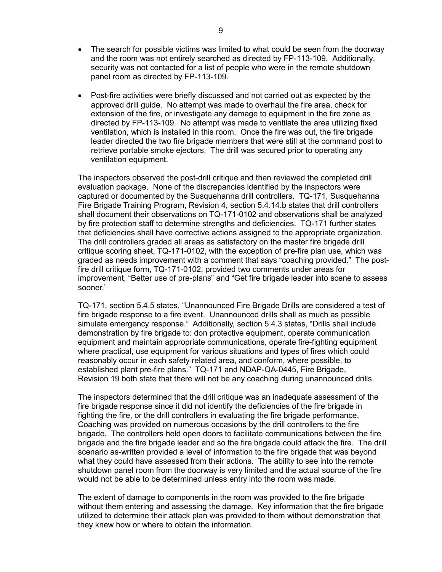- The search for possible victims was limited to what could be seen from the doorway and the room was not entirely searched as directed by FP-113-109. Additionally, security was not contacted for a list of people who were in the remote shutdown panel room as directed by FP-113-109.
- Post-fire activities were briefly discussed and not carried out as expected by the approved drill guide. No attempt was made to overhaul the fire area, check for extension of the fire, or investigate any damage to equipment in the fire zone as directed by FP-113-109. No attempt was made to ventilate the area utilizing fixed ventilation, which is installed in this room. Once the fire was out, the fire brigade leader directed the two fire brigade members that were still at the command post to retrieve portable smoke ejectors. The drill was secured prior to operating any ventilation equipment.

The inspectors observed the post-drill critique and then reviewed the completed drill evaluation package. None of the discrepancies identified by the inspectors were captured or documented by the Susquehanna drill controllers. TQ-171, Susquehanna Fire Brigade Training Program, Revision 4, section 5.4.14.b states that drill controllers shall document their observations on TQ-171-0102 and observations shall be analyzed by fire protection staff to determine strengths and deficiencies. TQ-171 further states that deficiencies shall have corrective actions assigned to the appropriate organization. The drill controllers graded all areas as satisfactory on the master fire brigade drill critique scoring sheet, TQ-171-0102, with the exception of pre-fire plan use, which was graded as needs improvement with a comment that says "coaching provided." The postfire drill critique form, TQ-171-0102, provided two comments under areas for improvement, "Better use of pre-plans" and "Get fire brigade leader into scene to assess sooner."

TQ-171, section 5.4.5 states, "Unannounced Fire Brigade Drills are considered a test of fire brigade response to a fire event. Unannounced drills shall as much as possible simulate emergency response." Additionally, section 5.4.3 states, "Drills shall include demonstration by fire brigade to: don protective equipment, operate communication equipment and maintain appropriate communications, operate fire-fighting equipment where practical, use equipment for various situations and types of fires which could reasonably occur in each safety related area, and conform, where possible, to established plant pre-fire plans." TQ-171 and NDAP-QA-0445, Fire Brigade, Revision 19 both state that there will not be any coaching during unannounced drills.

The inspectors determined that the drill critique was an inadequate assessment of the fire brigade response since it did not identify the deficiencies of the fire brigade in fighting the fire, or the drill controllers in evaluating the fire brigade performance. Coaching was provided on numerous occasions by the drill controllers to the fire brigade. The controllers held open doors to facilitate communications between the fire brigade and the fire brigade leader and so the fire brigade could attack the fire. The drill scenario as-written provided a level of information to the fire brigade that was beyond what they could have assessed from their actions. The ability to see into the remote shutdown panel room from the doorway is very limited and the actual source of the fire would not be able to be determined unless entry into the room was made.

The extent of damage to components in the room was provided to the fire brigade without them entering and assessing the damage. Key information that the fire brigade utilized to determine their attack plan was provided to them without demonstration that they knew how or where to obtain the information.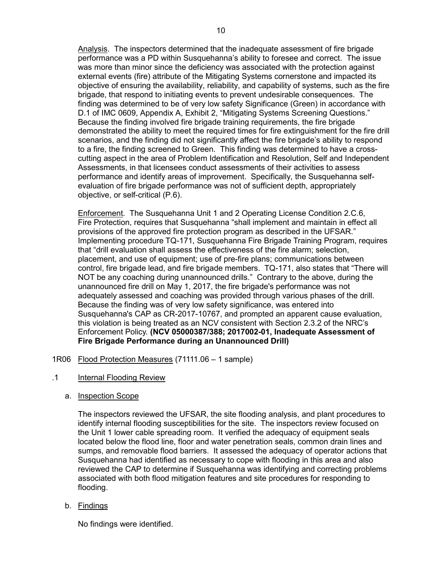Analysis. The inspectors determined that the inadequate assessment of fire brigade performance was a PD within Susquehanna's ability to foresee and correct. The issue was more than minor since the deficiency was associated with the protection against external events (fire) attribute of the Mitigating Systems cornerstone and impacted its objective of ensuring the availability, reliability, and capability of systems, such as the fire brigade, that respond to initiating events to prevent undesirable consequences. The finding was determined to be of very low safety Significance (Green) in accordance with D.1 of IMC 0609, Appendix A, Exhibit 2, "Mitigating Systems Screening Questions." Because the finding involved fire brigade training requirements, the fire brigade demonstrated the ability to meet the required times for fire extinguishment for the fire drill scenarios, and the finding did not significantly affect the fire brigade's ability to respond to a fire, the finding screened to Green. This finding was determined to have a crosscutting aspect in the area of Problem Identification and Resolution, Self and Independent Assessments, in that licensees conduct assessments of their activities to assess performance and identify areas of improvement. Specifically, the Susquehanna selfevaluation of fire brigade performance was not of sufficient depth, appropriately objective, or self-critical (P.6).

Enforcement. The Susquehanna Unit 1 and 2 Operating License Condition 2.C.6, Fire Protection, requires that Susquehanna "shall implement and maintain in effect all provisions of the approved fire protection program as described in the UFSAR." Implementing procedure TQ-171, Susquehanna Fire Brigade Training Program, requires that "drill evaluation shall assess the effectiveness of the fire alarm; selection, placement, and use of equipment; use of pre-fire plans; communications between control, fire brigade lead, and fire brigade members. TQ-171, also states that "There will NOT be any coaching during unannounced drills." Contrary to the above, during the unannounced fire drill on May 1, 2017, the fire brigade's performance was not adequately assessed and coaching was provided through various phases of the drill. Because the finding was of very low safety significance, was entered into Susquehanna's CAP as CR-2017-10767, and prompted an apparent cause evaluation, this violation is being treated as an NCV consistent with Section 2.3.2 of the NRC's Enforcement Policy. **(NCV 05000387/388; 2017002-01, Inadequate Assessment of Fire Brigade Performance during an Unannounced Drill)**

- <span id="page-12-1"></span><span id="page-12-0"></span>1R06 [Flood Protection Measures](#page-34-0) (71111.06 – 1 sample)
- .1 Internal Flooding Review
	- a. Inspection Scope

The inspectors reviewed the UFSAR, the site flooding analysis, and plant procedures to identify internal flooding susceptibilities for the site. The inspectors review focused on the Unit 1 lower cable spreading room. It verified the adequacy of equipment seals located below the flood line, floor and water penetration seals, common drain lines and sumps, and removable flood barriers. It assessed the adequacy of operator actions that Susquehanna had identified as necessary to cope with flooding in this area and also reviewed the CAP to determine if Susquehanna was identifying and correcting problems associated with both flood mitigation features and site procedures for responding to flooding.

b. Findings

No findings were identified.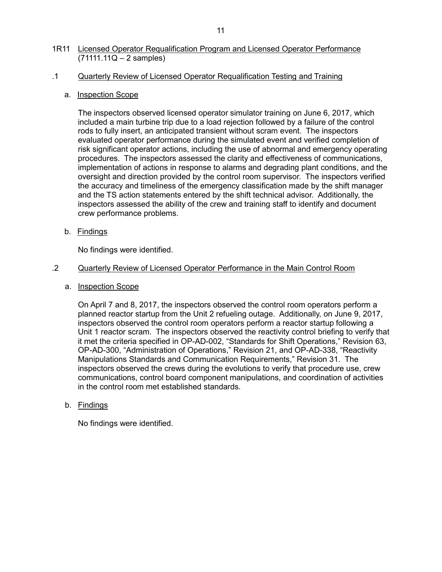# <span id="page-13-1"></span><span id="page-13-0"></span>1R11 [Licensed Operator Requalification Program](#page-34-1) and Licensed Operator Performance  $(71111.11Q - 2$  samples)

# .1 Quarterly Review of Licensed Operator Requalification Testing and Training

# a. Inspection Scope

The inspectors observed licensed operator simulator training on June 6, 2017, which included a main turbine trip due to a load rejection followed by a failure of the control rods to fully insert, an anticipated transient without scram event. The inspectors evaluated operator performance during the simulated event and verified completion of risk significant operator actions, including the use of abnormal and emergency operating procedures. The inspectors assessed the clarity and effectiveness of communications, implementation of actions in response to alarms and degrading plant conditions, and the oversight and direction provided by the control room supervisor. The inspectors verified the accuracy and timeliness of the emergency classification made by the shift manager and the TS action statements entered by the shift technical advisor. Additionally, the inspectors assessed the ability of the crew and training staff to identify and document crew performance problems.

b. Findings

No findings were identified.

# .2 Quarterly Review of Licensed Operator Performance in the Main Control Room

a. Inspection Scope

On April 7 and 8, 2017, the inspectors observed the control room operators perform a planned reactor startup from the Unit 2 refueling outage. Additionally, on June 9, 2017, inspectors observed the control room operators perform a reactor startup following a Unit 1 reactor scram. The inspectors observed the reactivity control briefing to verify that it met the criteria specified in OP-AD-002, "Standards for Shift Operations," Revision 63, OP-AD-300, "Administration of Operations," Revision 21, and OP-AD-338, "Reactivity Manipulations Standards and Communication Requirements," Revision 31. The inspectors observed the crews during the evolutions to verify that procedure use, crew communications, control board component manipulations, and coordination of activities in the control room met established standards.

# b. Findings

No findings were identified.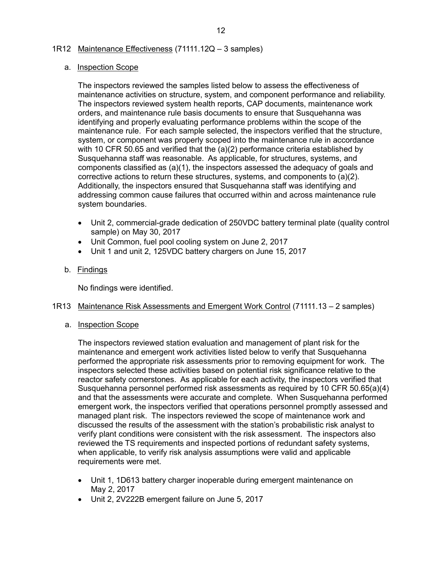### <span id="page-14-0"></span>1R12 [Maintenance Effectiveness](#page-34-2) (71111.12Q – 3 samples)

### <span id="page-14-2"></span>a. Inspection Scope

The inspectors reviewed the samples listed below to assess the effectiveness of maintenance activities on structure, system, and component performance and reliability. The inspectors reviewed system health reports, CAP documents, maintenance work orders, and maintenance rule basis documents to ensure that Susquehanna was identifying and properly evaluating performance problems within the scope of the maintenance rule. For each sample selected, the inspectors verified that the structure, system, or component was properly scoped into the maintenance rule in accordance with 10 CFR 50.65 and verified that the (a)(2) performance criteria established by Susquehanna staff was reasonable. As applicable, for structures, systems, and components classified as (a)(1), the inspectors assessed the adequacy of goals and corrective actions to return these structures, systems, and components to (a)(2). Additionally, the inspectors ensured that Susquehanna staff was identifying and addressing common cause failures that occurred within and across maintenance rule system boundaries.

- Unit 2, commercial-grade dedication of 250VDC battery terminal plate (quality control sample) on May 30, 2017
- Unit Common, fuel pool cooling system on June 2, 2017
- Unit 1 and unit 2, 125VDC battery chargers on June 15, 2017

# b. Findings

<span id="page-14-3"></span>No findings were identified.

### <span id="page-14-1"></span>1R13 [Maintenance Risk Assessments and Emergent Work Control](#page-35-0) (71111.13 – 2 samples)

a. Inspection Scope

The inspectors reviewed station evaluation and management of plant risk for the maintenance and emergent work activities listed below to verify that Susquehanna performed the appropriate risk assessments prior to removing equipment for work. The inspectors selected these activities based on potential risk significance relative to the reactor safety cornerstones. As applicable for each activity, the inspectors verified that Susquehanna personnel performed risk assessments as required by 10 CFR 50.65(a)(4) and that the assessments were accurate and complete. When Susquehanna performed emergent work, the inspectors verified that operations personnel promptly assessed and managed plant risk. The inspectors reviewed the scope of maintenance work and discussed the results of the assessment with the station's probabilistic risk analyst to verify plant conditions were consistent with the risk assessment. The inspectors also reviewed the TS requirements and inspected portions of redundant safety systems, when applicable, to verify risk analysis assumptions were valid and applicable requirements were met.

- Unit 1, 1D613 battery charger inoperable during emergent maintenance on May 2, 2017
- Unit 2, 2V222B emergent failure on June 5, 2017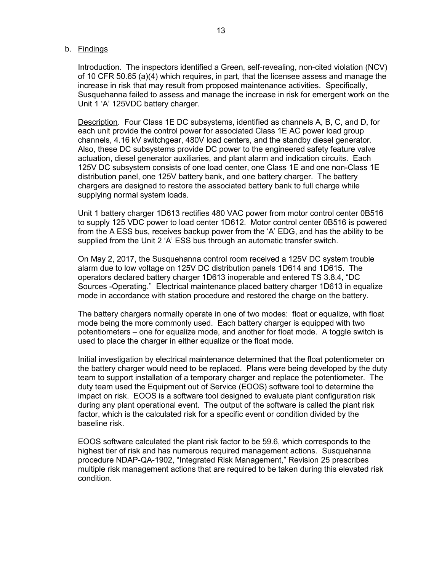#### b. Findings

Introduction. The inspectors identified a Green, self-revealing, non-cited violation (NCV) of 10 CFR 50.65 (a)(4) which requires, in part, that the licensee assess and manage the increase in risk that may result from proposed maintenance activities. Specifically, Susquehanna failed to assess and manage the increase in risk for emergent work on the Unit 1 'A' 125VDC battery charger.

Description. Four Class 1E DC subsystems, identified as channels A, B, C, and D, for each unit provide the control power for associated Class 1E AC power load group channels, 4.16 kV switchgear, 480V load centers, and the standby diesel generator. Also, these DC subsystems provide DC power to the engineered safety feature valve actuation, diesel generator auxiliaries, and plant alarm and indication circuits. Each 125V DC subsystem consists of one load center, one Class 1E and one non-Class 1E distribution panel, one 125V battery bank, and one battery charger. The battery chargers are designed to restore the associated battery bank to full charge while supplying normal system loads.

Unit 1 battery charger 1D613 rectifies 480 VAC power from motor control center 0B516 to supply 125 VDC power to load center 1D612. Motor control center 0B516 is powered from the A ESS bus, receives backup power from the 'A' EDG, and has the ability to be supplied from the Unit 2 'A' ESS bus through an automatic transfer switch.

On May 2, 2017, the Susquehanna control room received a 125V DC system trouble alarm due to low voltage on 125V DC distribution panels 1D614 and 1D615. The operators declared battery charger 1D613 inoperable and entered TS 3.8.4, "DC Sources -Operating." Electrical maintenance placed battery charger 1D613 in equalize mode in accordance with station procedure and restored the charge on the battery.

The battery chargers normally operate in one of two modes: float or equalize, with float mode being the more commonly used. Each battery charger is equipped with two potentiometers – one for equalize mode, and another for float mode. A toggle switch is used to place the charger in either equalize or the float mode.

Initial investigation by electrical maintenance determined that the float potentiometer on the battery charger would need to be replaced. Plans were being developed by the duty team to support installation of a temporary charger and replace the potentiometer. The duty team used the Equipment out of Service (EOOS) software tool to determine the impact on risk. EOOS is a software tool designed to evaluate plant configuration risk during any plant operational event. The output of the software is called the plant risk factor, which is the calculated risk for a specific event or condition divided by the baseline risk.

EOOS software calculated the plant risk factor to be 59.6, which corresponds to the highest tier of risk and has numerous required management actions. Susquehanna procedure NDAP-QA-1902, "Integrated Risk Management," Revision 25 prescribes multiple risk management actions that are required to be taken during this elevated risk condition.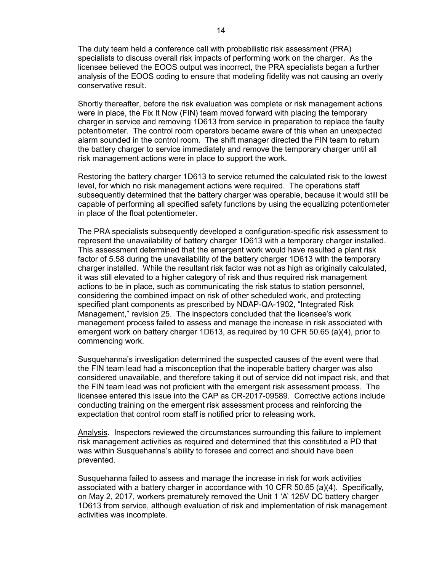The duty team held a conference call with probabilistic risk assessment (PRA) specialists to discuss overall risk impacts of performing work on the charger. As the licensee believed the EOOS output was incorrect, the PRA specialists began a further analysis of the EOOS coding to ensure that modeling fidelity was not causing an overly conservative result.

Shortly thereafter, before the risk evaluation was complete or risk management actions were in place, the Fix It Now (FIN) team moved forward with placing the temporary charger in service and removing 1D613 from service in preparation to replace the faulty potentiometer. The control room operators became aware of this when an unexpected alarm sounded in the control room. The shift manager directed the FIN team to return the battery charger to service immediately and remove the temporary charger until all risk management actions were in place to support the work.

Restoring the battery charger 1D613 to service returned the calculated risk to the lowest level, for which no risk management actions were required. The operations staff subsequently determined that the battery charger was operable, because it would still be capable of performing all specified safety functions by using the equalizing potentiometer in place of the float potentiometer.

The PRA specialists subsequently developed a configuration-specific risk assessment to represent the unavailability of battery charger 1D613 with a temporary charger installed. This assessment determined that the emergent work would have resulted a plant risk factor of 5.58 during the unavailability of the battery charger 1D613 with the temporary charger installed. While the resultant risk factor was not as high as originally calculated, it was still elevated to a higher category of risk and thus required risk management actions to be in place, such as communicating the risk status to station personnel, considering the combined impact on risk of other scheduled work, and protecting specified plant components as prescribed by NDAP-QA-1902, "Integrated Risk Management," revision 25. The inspectors concluded that the licensee's work management process failed to assess and manage the increase in risk associated with emergent work on battery charger 1D613, as required by 10 CFR 50.65 (a)(4), prior to commencing work.

Susquehanna's investigation determined the suspected causes of the event were that the FIN team lead had a misconception that the inoperable battery charger was also considered unavailable, and therefore taking it out of service did not impact risk, and that the FIN team lead was not proficient with the emergent risk assessment process. The licensee entered this issue into the CAP as CR-2017-09589. Corrective actions include conducting training on the emergent risk assessment process and reinforcing the expectation that control room staff is notified prior to releasing work.

Analysis. Inspectors reviewed the circumstances surrounding this failure to implement risk management activities as required and determined that this constituted a PD that was within Susquehanna's ability to foresee and correct and should have been prevented.

Susquehanna failed to assess and manage the increase in risk for work activities associated with a battery charger in accordance with 10 CFR 50.65 (a)(4). Specifically, on May 2, 2017, workers prematurely removed the Unit 1 'A' 125V DC battery charger 1D613 from service, although evaluation of risk and implementation of risk management activities was incomplete.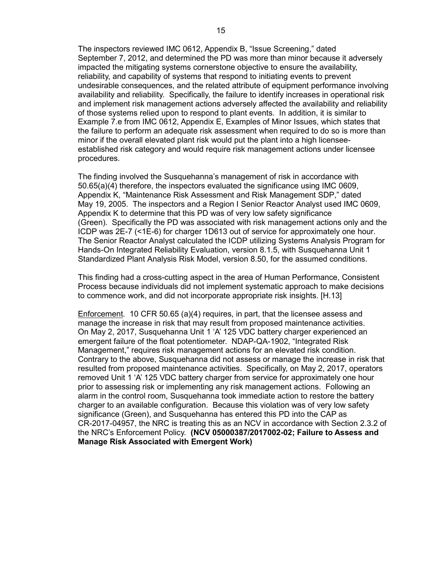The inspectors reviewed IMC 0612, Appendix B, "Issue Screening," dated September 7, 2012, and determined the PD was more than minor because it adversely impacted the mitigating systems cornerstone objective to ensure the availability, reliability, and capability of systems that respond to initiating events to prevent undesirable consequences, and the related attribute of equipment performance involving availability and reliability. Specifically, the failure to identify increases in operational risk and implement risk management actions adversely affected the availability and reliability of those systems relied upon to respond to plant events. In addition, it is similar to Example 7.e from IMC 0612, Appendix E, Examples of Minor Issues, which states that the failure to perform an adequate risk assessment when required to do so is more than minor if the overall elevated plant risk would put the plant into a high licenseeestablished risk category and would require risk management actions under licensee procedures.

The finding involved the Susquehanna's management of risk in accordance with 50.65(a)(4) therefore, the inspectors evaluated the significance using IMC 0609, Appendix K, "Maintenance Risk Assessment and Risk Management SDP," dated May 19, 2005. The inspectors and a Region I Senior Reactor Analyst used IMC 0609, Appendix K to determine that this PD was of very low safety significance (Green). Specifically the PD was associated with risk management actions only and the ICDP was 2E-7 (<1E-6) for charger 1D613 out of service for approximately one hour. The Senior Reactor Analyst calculated the ICDP utilizing Systems Analysis Program for Hands-On Integrated Reliability Evaluation, version 8.1.5, with Susquehanna Unit 1 Standardized Plant Analysis Risk Model, version 8.50, for the assumed conditions.

This finding had a cross-cutting aspect in the area of Human Performance, Consistent Process because individuals did not implement systematic approach to make decisions to commence work, and did not incorporate appropriate risk insights. [H.13]

Enforcement. 10 CFR 50.65 (a)(4) requires, in part, that the licensee assess and manage the increase in risk that may result from proposed maintenance activities. On May 2, 2017, Susquehanna Unit 1 'A' 125 VDC battery charger experienced an emergent failure of the float potentiometer. NDAP-QA-1902, "Integrated Risk Management," requires risk management actions for an elevated risk condition. Contrary to the above, Susquehanna did not assess or manage the increase in risk that resulted from proposed maintenance activities. Specifically, on May 2, 2017, operators removed Unit 1 'A' 125 VDC battery charger from service for approximately one hour prior to assessing risk or implementing any risk management actions. Following an alarm in the control room, Susquehanna took immediate action to restore the battery charger to an available configuration. Because this violation was of very low safety significance (Green), and Susquehanna has entered this PD into the CAP as CR-2017-04957, the NRC is treating this as an NCV in accordance with Section 2.3.2 of the NRC's Enforcement Policy. **(NCV 05000387/2017002-02; Failure to Assess and Manage Risk Associated with Emergent Work)**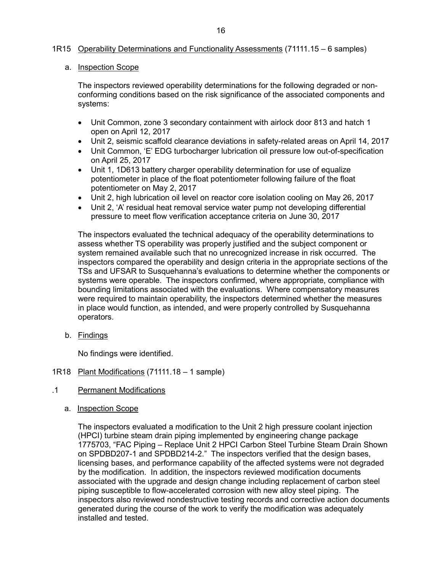### <span id="page-18-0"></span>1R15 [Operability Determinations and Functionality Assessments](#page-35-1) (71111.15 – 6 samples)

#### <span id="page-18-2"></span>a. Inspection Scope

The inspectors reviewed operability determinations for the following degraded or nonconforming conditions based on the risk significance of the associated components and systems:

- Unit Common, zone 3 secondary containment with airlock door 813 and hatch 1 open on April 12, 2017
- Unit 2, seismic scaffold clearance deviations in safety-related areas on April 14, 2017
- Unit Common, 'E' EDG turbocharger lubrication oil pressure low out-of-specification on April 25, 2017
- Unit 1, 1D613 battery charger operability determination for use of equalize potentiometer in place of the float potentiometer following failure of the float potentiometer on May 2, 2017
- Unit 2, high lubrication oil level on reactor core isolation cooling on May 26, 2017
- Unit 2, 'A' residual heat removal service water pump not developing differential pressure to meet flow verification acceptance criteria on June 30, 2017

The inspectors evaluated the technical adequacy of the operability determinations to assess whether TS operability was properly justified and the subject component or system remained available such that no unrecognized increase in risk occurred. The inspectors compared the operability and design criteria in the appropriate sections of the TSs and UFSAR to Susquehanna's evaluations to determine whether the components or systems were operable. The inspectors confirmed, where appropriate, compliance with bounding limitations associated with the evaluations. Where compensatory measures were required to maintain operability, the inspectors determined whether the measures in place would function, as intended, and were properly controlled by Susquehanna operators.

b. Findings

<span id="page-18-3"></span>No findings were identified.

- <span id="page-18-1"></span>1R18 [Plant Modifications](#page-36-0) (71111.18 – 1 sample)
- .1 Permanent Modifications
	- a. Inspection Scope

The inspectors evaluated a modification to the Unit 2 high pressure coolant injection (HPCI) turbine steam drain piping implemented by engineering change package 1775703, "FAC Piping – Replace Unit 2 HPCI Carbon Steel Turbine Steam Drain Shown on SPDBD207-1 and SPDBD214-2." The inspectors verified that the design bases, licensing bases, and performance capability of the affected systems were not degraded by the modification. In addition, the inspectors reviewed modification documents associated with the upgrade and design change including replacement of carbon steel piping susceptible to flow-accelerated corrosion with new alloy steel piping. The inspectors also reviewed nondestructive testing records and corrective action documents generated during the course of the work to verify the modification was adequately installed and tested.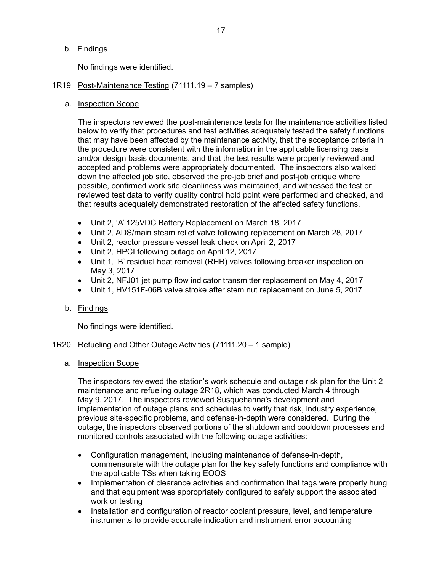b. Findings

<span id="page-19-2"></span>No findings were identified.

- <span id="page-19-0"></span>1R19 [Post-Maintenance Testing](#page-36-1) (71111.19 – 7 samples)
	- a. Inspection Scope

The inspectors reviewed the post-maintenance tests for the maintenance activities listed below to verify that procedures and test activities adequately tested the safety functions that may have been affected by the maintenance activity, that the acceptance criteria in the procedure were consistent with the information in the applicable licensing basis and/or design basis documents, and that the test results were properly reviewed and accepted and problems were appropriately documented. The inspectors also walked down the affected job site, observed the pre-job brief and post-job critique where possible, confirmed work site cleanliness was maintained, and witnessed the test or reviewed test data to verify quality control hold point were performed and checked, and that results adequately demonstrated restoration of the affected safety functions.

- Unit 2, 'A' 125VDC Battery Replacement on March 18, 2017
- Unit 2, ADS/main steam relief valve following replacement on March 28, 2017
- Unit 2, reactor pressure vessel leak check on April 2, 2017
- Unit 2, HPCI following outage on April 12, 2017
- Unit 1, 'B' residual heat removal (RHR) valves following breaker inspection on May 3, 2017
- Unit 2, NFJ01 jet pump flow indicator transmitter replacement on May 4, 2017
- Unit 1, HV151F-06B valve stroke after stem nut replacement on June 5, 2017
- b. Findings

<span id="page-19-3"></span>No findings were identified.

- <span id="page-19-1"></span>1R20 [Refueling and Other Outage Activities](#page-37-0) (71111.20 – 1 sample)
	- a. Inspection Scope

The inspectors reviewed the station's work schedule and outage risk plan for the Unit 2 maintenance and refueling outage 2R18, which was conducted March 4 through May 9, 2017. The inspectors reviewed Susquehanna's development and implementation of outage plans and schedules to verify that risk, industry experience, previous site-specific problems, and defense-in-depth were considered. During the outage, the inspectors observed portions of the shutdown and cooldown processes and monitored controls associated with the following outage activities:

- Configuration management, including maintenance of defense-in-depth, commensurate with the outage plan for the key safety functions and compliance with the applicable TSs when taking EOOS
- Implementation of clearance activities and confirmation that tags were properly hung and that equipment was appropriately configured to safely support the associated work or testing
- Installation and configuration of reactor coolant pressure, level, and temperature instruments to provide accurate indication and instrument error accounting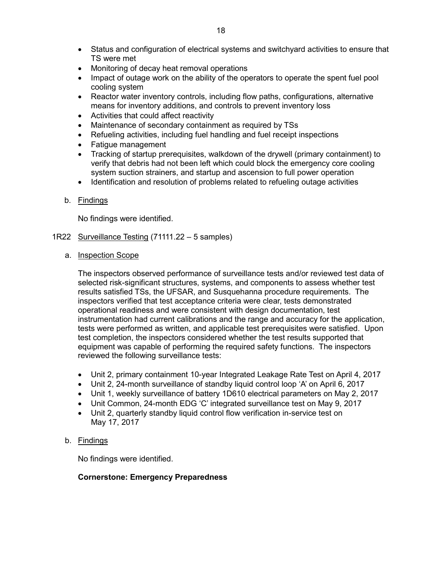- Status and configuration of electrical systems and switchyard activities to ensure that TS were met
- Monitoring of decay heat removal operations
- Impact of outage work on the ability of the operators to operate the spent fuel pool cooling system
- Reactor water inventory controls, including flow paths, configurations, alternative means for inventory additions, and controls to prevent inventory loss
- Activities that could affect reactivity
- Maintenance of secondary containment as required by TSs
- Refueling activities, including fuel handling and fuel receipt inspections
- Fatigue management
- Tracking of startup prerequisites, walkdown of the drywell (primary containment) to verify that debris had not been left which could block the emergency core cooling system suction strainers, and startup and ascension to full power operation
- Identification and resolution of problems related to refueling outage activities
- b. Findings

<span id="page-20-1"></span>No findings were identified.

- <span id="page-20-0"></span>1R22 [Surveillance Testing](#page-37-1) (71111.22 - 5 samples)
	- a. Inspection Scope

The inspectors observed performance of surveillance tests and/or reviewed test data of selected risk-significant structures, systems, and components to assess whether test results satisfied TSs, the UFSAR, and Susquehanna procedure requirements. The inspectors verified that test acceptance criteria were clear, tests demonstrated operational readiness and were consistent with design documentation, test instrumentation had current calibrations and the range and accuracy for the application, tests were performed as written, and applicable test prerequisites were satisfied. Upon test completion, the inspectors considered whether the test results supported that equipment was capable of performing the required safety functions. The inspectors reviewed the following surveillance tests:

- Unit 2, primary containment 10-year Integrated Leakage Rate Test on April 4, 2017
- Unit 2, 24-month surveillance of standby liquid control loop 'A' on April 6, 2017
- Unit 1, weekly surveillance of battery 1D610 electrical parameters on May 2, 2017
- Unit Common, 24-month EDG 'C' integrated surveillance test on May 9, 2017
- Unit 2, quarterly standby liquid control flow verification in-service test on May 17, 2017

# b. Findings

No findings were identified.

# **Cornerstone: Emergency Preparedness**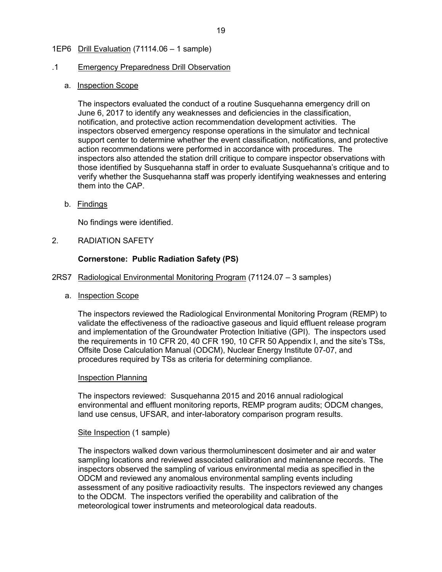### <span id="page-21-3"></span><span id="page-21-0"></span>1EP6 [Drill Evaluation](#page-38-0) (71114.06 – 1 sample)

### .1 Emergency Preparedness Drill Observation

### a. Inspection Scope

The inspectors evaluated the conduct of a routine Susquehanna emergency drill on June 6, 2017 to identify any weaknesses and deficiencies in the classification, notification, and protective action recommendation development activities. The inspectors observed emergency response operations in the simulator and technical support center to determine whether the event classification, notifications, and protective action recommendations were performed in accordance with procedures. The inspectors also attended the station drill critique to compare inspector observations with those identified by Susquehanna staff in order to evaluate Susquehanna's critique and to verify whether the Susquehanna staff was properly identifying weaknesses and entering them into the CAP.

b. Findings

No findings were identified.

<span id="page-21-1"></span>2. RADIATION SAFETY

# **Cornerstone: Public Radiation Safety (PS)**

- <span id="page-21-2"></span>2RS7 Radiological Environmental Monitoring Program (71124.07 – 3 samples)
	- a. Inspection Scope

The inspectors reviewed the Radiological Environmental Monitoring Program (REMP) to validate the effectiveness of the radioactive gaseous and liquid effluent release program and implementation of the Groundwater Protection Initiative (GPI). The inspectors used the requirements in 10 CFR 20, 40 CFR 190, 10 CFR 50 Appendix I, and the site's TSs, Offsite Dose Calculation Manual (ODCM), Nuclear Energy Institute 07-07, and procedures required by TSs as criteria for determining compliance.

### Inspection Planning

The inspectors reviewed: Susquehanna 2015 and 2016 annual radiological environmental and effluent monitoring reports, REMP program audits; ODCM changes, land use census, UFSAR, and inter-laboratory comparison program results.

### Site Inspection (1 sample)

The inspectors walked down various thermoluminescent dosimeter and air and water sampling locations and reviewed associated calibration and maintenance records. The inspectors observed the sampling of various environmental media as specified in the ODCM and reviewed any anomalous environmental sampling events including assessment of any positive radioactivity results. The inspectors reviewed any changes to the ODCM. The inspectors verified the operability and calibration of the meteorological tower instruments and meteorological data readouts.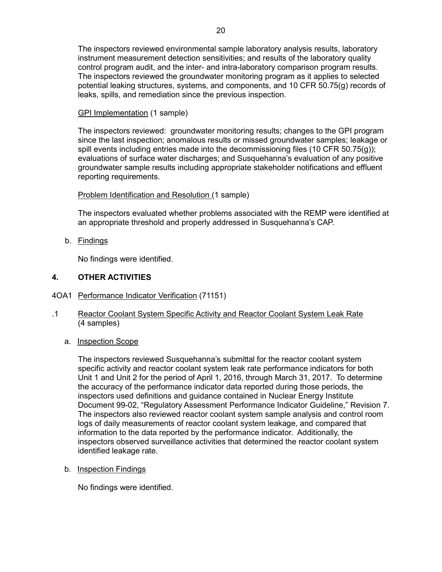The inspectors reviewed environmental sample laboratory analysis results, laboratory instrument measurement detection sensitivities; and results of the laboratory quality control program audit, and the inter- and intra-laboratory comparison program results. The inspectors reviewed the groundwater monitoring program as it applies to selected potential leaking structures, systems, and components, and 10 CFR 50.75(g) records of leaks, spills, and remediation since the previous inspection.

# GPI Implementation (1 sample)

The inspectors reviewed: groundwater monitoring results; changes to the GPI program since the last inspection; anomalous results or missed groundwater samples; leakage or spill events including entries made into the decommissioning files (10 CFR 50.75 $(q)$ ); evaluations of surface water discharges; and Susquehanna's evaluation of any positive groundwater sample results including appropriate stakeholder notifications and effluent reporting requirements.

# Problem Identification and Resolution (1 sample)

The inspectors evaluated whether problems associated with the REMP were identified at an appropriate threshold and properly addressed in Susquehanna's CAP.

b. Findings

No findings were identified.

# <span id="page-22-0"></span>**4. OTHER ACTIVITIES**

- <span id="page-22-2"></span><span id="page-22-1"></span>4OA1 [Performance Indicator Verification](#page-38-1) (71151)
- .1 Reactor Coolant System Specific Activity and Reactor Coolant System Leak Rate (4 samples)
	- a. Inspection Scope

The inspectors reviewed Susquehanna's submittal for the reactor coolant system specific activity and reactor coolant system leak rate performance indicators for both Unit 1 and Unit 2 for the period of April 1, 2016, through March 31, 2017. To determine the accuracy of the performance indicator data reported during those periods, the inspectors used definitions and guidance contained in Nuclear Energy Institute Document 99-02, "Regulatory Assessment Performance Indicator Guideline," Revision 7. The inspectors also reviewed reactor coolant system sample analysis and control room logs of daily measurements of reactor coolant system leakage, and compared that information to the data reported by the performance indicator. Additionally, the inspectors observed surveillance activities that determined the reactor coolant system identified leakage rate.

b. Inspection Findings

No findings were identified.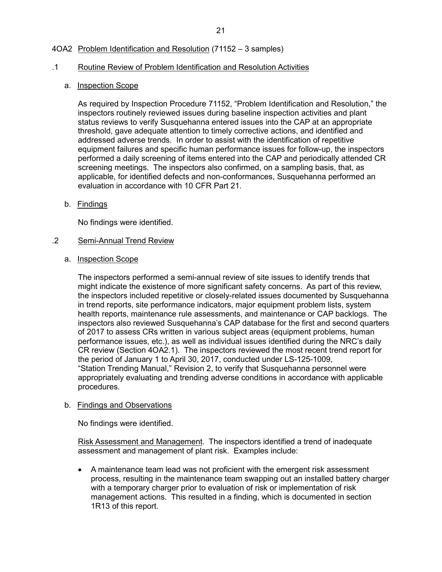# <span id="page-23-1"></span><span id="page-23-0"></span>4OA2 [Problem Identification and Resolution](#page-39-0) (71152 – 3 samples)

#### .1 Routine Review of Problem Identification and Resolution Activities

#### a. Inspection Scope

As required by Inspection Procedure 71152, "Problem Identification and Resolution," the inspectors routinely reviewed issues during baseline inspection activities and plant status reviews to verify Susquehanna entered issues into the CAP at an appropriate threshold, gave adequate attention to timely corrective actions, and identified and addressed adverse trends. In order to assist with the identification of repetitive equipment failures and specific human performance issues for follow-up, the inspectors performed a daily screening of items entered into the CAP and periodically attended CR screening meetings. The inspectors also confirmed, on a sampling basis, that, as applicable, for identified defects and non-conformances, Susquehanna performed an evaluation in accordance with 10 CFR Part 21.

b. Findings

No findings were identified.

#### .2 Semi-Annual Trend Review

a. Inspection Scope

The inspectors performed a semi-annual review of site issues to identify trends that might indicate the existence of more significant safety concerns. As part of this review, the inspectors included repetitive or closely-related issues documented by Susquehanna in trend reports, site performance indicators, major equipment problem lists, system health reports, maintenance rule assessments, and maintenance or CAP backlogs. The inspectors also reviewed Susquehanna's CAP database for the first and second quarters of 2017 to assess CRs written in various subject areas (equipment problems, human performance issues, etc.), as well as individual issues identified during the NRC's daily CR review (Section 4OA2.1). The inspectors reviewed the most recent trend report for the period of January 1 to April 30, 2017, conducted under LS-125-1009, "Station Trending Manual," Revision 2, to verify that Susquehanna personnel were appropriately evaluating and trending adverse conditions in accordance with applicable procedures.

#### b. Findings and Observations

No findings were identified.

Risk Assessment and Management. The inspectors identified a trend of inadequate assessment and management of plant risk. Examples include:

• A maintenance team lead was not proficient with the emergent risk assessment process, resulting in the maintenance team swapping out an installed battery charger with a temporary charger prior to evaluation of risk or implementation of risk management actions. This resulted in a finding, which is documented in section 1R13 of this report.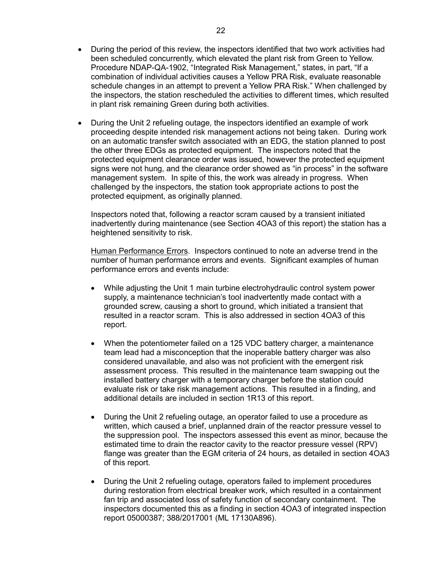- During the period of this review, the inspectors identified that two work activities had been scheduled concurrently, which elevated the plant risk from Green to Yellow. Procedure NDAP-QA-1902, "Integrated Risk Management," states, in part, "If a combination of individual activities causes a Yellow PRA Risk, evaluate reasonable schedule changes in an attempt to prevent a Yellow PRA Risk." When challenged by the inspectors, the station rescheduled the activities to different times, which resulted in plant risk remaining Green during both activities.
- During the Unit 2 refueling outage, the inspectors identified an example of work proceeding despite intended risk management actions not being taken. During work on an automatic transfer switch associated with an EDG, the station planned to post the other three EDGs as protected equipment. The inspectors noted that the protected equipment clearance order was issued, however the protected equipment signs were not hung, and the clearance order showed as "in process" in the software management system. In spite of this, the work was already in progress. When challenged by the inspectors, the station took appropriate actions to post the protected equipment, as originally planned.

Inspectors noted that, following a reactor scram caused by a transient initiated inadvertently during maintenance (see Section 4OA3 of this report) the station has a heightened sensitivity to risk.

Human Performance Errors. Inspectors continued to note an adverse trend in the number of human performance errors and events. Significant examples of human performance errors and events include:

- While adjusting the Unit 1 main turbine electrohydraulic control system power supply, a maintenance technician's tool inadvertently made contact with a grounded screw, causing a short to ground, which initiated a transient that resulted in a reactor scram. This is also addressed in section 4OA3 of this report.
- When the potentiometer failed on a 125 VDC battery charger, a maintenance team lead had a misconception that the inoperable battery charger was also considered unavailable, and also was not proficient with the emergent risk assessment process. This resulted in the maintenance team swapping out the installed battery charger with a temporary charger before the station could evaluate risk or take risk management actions. This resulted in a finding, and additional details are included in section 1R13 of this report.
- During the Unit 2 refueling outage, an operator failed to use a procedure as written, which caused a brief, unplanned drain of the reactor pressure vessel to the suppression pool. The inspectors assessed this event as minor, because the estimated time to drain the reactor cavity to the reactor pressure vessel (RPV) flange was greater than the EGM criteria of 24 hours, as detailed in section 4OA3 of this report.
- During the Unit 2 refueling outage, operators failed to implement procedures during restoration from electrical breaker work, which resulted in a containment fan trip and associated loss of safety function of secondary containment. The inspectors documented this as a finding in section 4OA3 of integrated inspection report 05000387; 388/2017001 (ML 17130A896).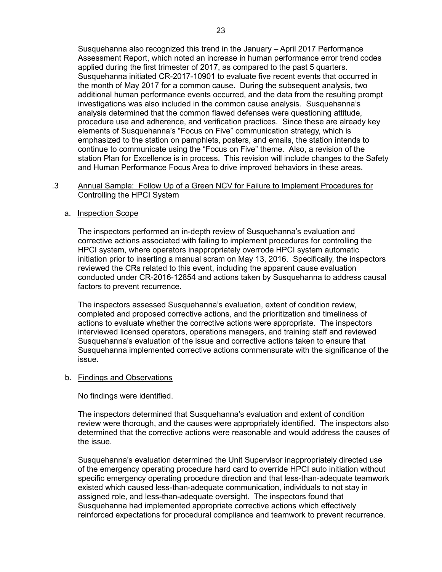Susquehanna also recognized this trend in the January – April 2017 Performance Assessment Report, which noted an increase in human performance error trend codes applied during the first trimester of 2017, as compared to the past 5 quarters. Susquehanna initiated CR-2017-10901 to evaluate five recent events that occurred in the month of May 2017 for a common cause. During the subsequent analysis, two additional human performance events occurred, and the data from the resulting prompt investigations was also included in the common cause analysis. Susquehanna's analysis determined that the common flawed defenses were questioning attitude, procedure use and adherence, and verification practices. Since these are already key elements of Susquehanna's "Focus on Five" communication strategy, which is emphasized to the station on pamphlets, posters, and emails, the station intends to continue to communicate using the "Focus on Five" theme. Also, a revision of the station Plan for Excellence is in process. This revision will include changes to the Safety and Human Performance Focus Area to drive improved behaviors in these areas.

### .3 Annual Sample: Follow Up of a Green NCV for Failure to Implement Procedures for Controlling the HPCI System

#### a. Inspection Scope

The inspectors performed an in-depth review of Susquehanna's evaluation and corrective actions associated with failing to implement procedures for controlling the HPCI system, where operators inappropriately overrode HPCI system automatic initiation prior to inserting a manual scram on May 13, 2016. Specifically, the inspectors reviewed the CRs related to this event, including the apparent cause evaluation conducted under CR-2016-12854 and actions taken by Susquehanna to address causal factors to prevent recurrence.

The inspectors assessed Susquehanna's evaluation, extent of condition review, completed and proposed corrective actions, and the prioritization and timeliness of actions to evaluate whether the corrective actions were appropriate. The inspectors interviewed licensed operators, operations managers, and training staff and reviewed Susquehanna's evaluation of the issue and corrective actions taken to ensure that Susquehanna implemented corrective actions commensurate with the significance of the issue.

#### b. Findings and Observations

No findings were identified.

The inspectors determined that Susquehanna's evaluation and extent of condition review were thorough, and the causes were appropriately identified. The inspectors also determined that the corrective actions were reasonable and would address the causes of the issue.

Susquehanna's evaluation determined the Unit Supervisor inappropriately directed use of the emergency operating procedure hard card to override HPCI auto initiation without specific emergency operating procedure direction and that less-than-adequate teamwork existed which caused less-than-adequate communication, individuals to not stay in assigned role, and less-than-adequate oversight. The inspectors found that Susquehanna had implemented appropriate corrective actions which effectively reinforced expectations for procedural compliance and teamwork to prevent recurrence.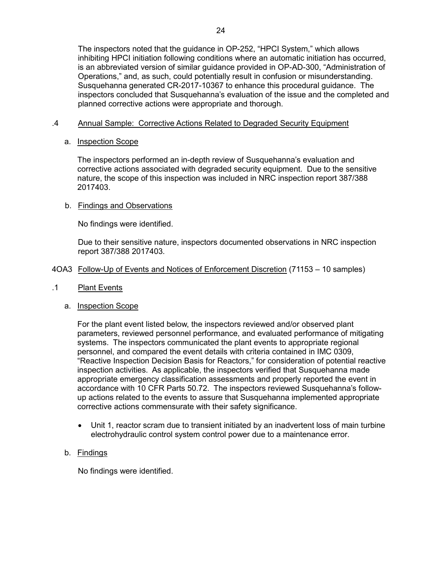The inspectors noted that the guidance in OP-252, "HPCI System," which allows inhibiting HPCI initiation following conditions where an automatic initiation has occurred, is an abbreviated version of similar guidance provided in OP-AD-300, "Administration of Operations," and, as such, could potentially result in confusion or misunderstanding. Susquehanna generated CR-2017-10367 to enhance this procedural guidance. The inspectors concluded that Susquehanna's evaluation of the issue and the completed and planned corrective actions were appropriate and thorough.

# .4 Annual Sample: Corrective Actions Related to Degraded Security Equipment

# a. Inspection Scope

The inspectors performed an in-depth review of Susquehanna's evaluation and corrective actions associated with degraded security equipment. Due to the sensitive nature, the scope of this inspection was included in NRC inspection report 387/388 2017403.

# b. Findings and Observations

No findings were identified.

Due to their sensitive nature, inspectors documented observations in NRC inspection report 387/388 2017403.

# <span id="page-26-1"></span><span id="page-26-0"></span>4OA3 [Follow-Up of Events and Notices of Enforcement Discretion](#page-39-1) (71153 – 10 samples)

.1 Plant Events

# a. Inspection Scope

For the plant event listed below, the inspectors reviewed and/or observed plant parameters, reviewed personnel performance, and evaluated performance of mitigating systems. The inspectors communicated the plant events to appropriate regional personnel, and compared the event details with criteria contained in IMC 0309, "Reactive Inspection Decision Basis for Reactors," for consideration of potential reactive inspection activities. As applicable, the inspectors verified that Susquehanna made appropriate emergency classification assessments and properly reported the event in accordance with 10 CFR Parts 50.72. The inspectors reviewed Susquehanna's followup actions related to the events to assure that Susquehanna implemented appropriate corrective actions commensurate with their safety significance.

• Unit 1, reactor scram due to transient initiated by an inadvertent loss of main turbine electrohydraulic control system control power due to a maintenance error.

# b. Findings

No findings were identified.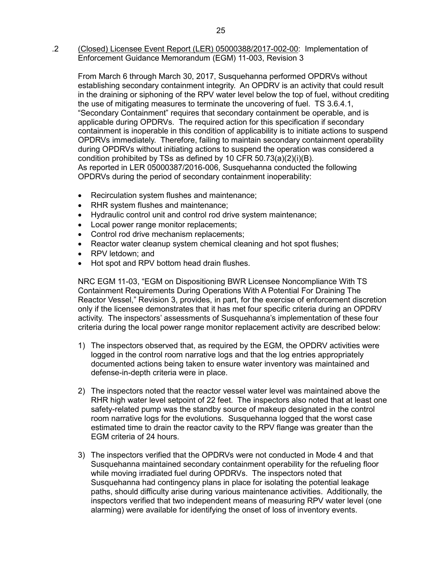.2 (Closed) Licensee Event Report (LER) 05000388/2017-002-00: Implementation of Enforcement Guidance Memorandum (EGM) 11-003, Revision 3

From March 6 through March 30, 2017, Susquehanna performed OPDRVs without establishing secondary containment integrity. An OPDRV is an activity that could result in the draining or siphoning of the RPV water level below the top of fuel, without crediting the use of mitigating measures to terminate the uncovering of fuel. TS 3.6.4.1, "Secondary Containment" requires that secondary containment be operable, and is applicable during OPDRVs. The required action for this specification if secondary containment is inoperable in this condition of applicability is to initiate actions to suspend OPDRVs immediately. Therefore, failing to maintain secondary containment operability during OPDRVs without initiating actions to suspend the operation was considered a condition prohibited by TSs as defined by 10 CFR 50.73(a)(2)(i)(B). As reported in LER 05000387/2016-006, Susquehanna conducted the following OPDRVs during the period of secondary containment inoperability:

- Recirculation system flushes and maintenance;
- RHR system flushes and maintenance;
- Hydraulic control unit and control rod drive system maintenance;
- Local power range monitor replacements;
- Control rod drive mechanism replacements;
- Reactor water cleanup system chemical cleaning and hot spot flushes;
- RPV letdown: and
- Hot spot and RPV bottom head drain flushes.

NRC EGM 11-03, "EGM on Dispositioning BWR Licensee Noncompliance With TS Containment Requirements During Operations With A Potential For Draining The Reactor Vessel," Revision 3, provides, in part, for the exercise of enforcement discretion only if the licensee demonstrates that it has met four specific criteria during an OPDRV activity. The inspectors' assessments of Susquehanna's implementation of these four criteria during the local power range monitor replacement activity are described below:

- 1) The inspectors observed that, as required by the EGM, the OPDRV activities were logged in the control room narrative logs and that the log entries appropriately documented actions being taken to ensure water inventory was maintained and defense-in-depth criteria were in place.
- 2) The inspectors noted that the reactor vessel water level was maintained above the RHR high water level setpoint of 22 feet. The inspectors also noted that at least one safety-related pump was the standby source of makeup designated in the control room narrative logs for the evolutions. Susquehanna logged that the worst case estimated time to drain the reactor cavity to the RPV flange was greater than the EGM criteria of 24 hours.
- 3) The inspectors verified that the OPDRVs were not conducted in Mode 4 and that Susquehanna maintained secondary containment operability for the refueling floor while moving irradiated fuel during OPDRVs. The inspectors noted that Susquehanna had contingency plans in place for isolating the potential leakage paths, should difficulty arise during various maintenance activities. Additionally, the inspectors verified that two independent means of measuring RPV water level (one alarming) were available for identifying the onset of loss of inventory events.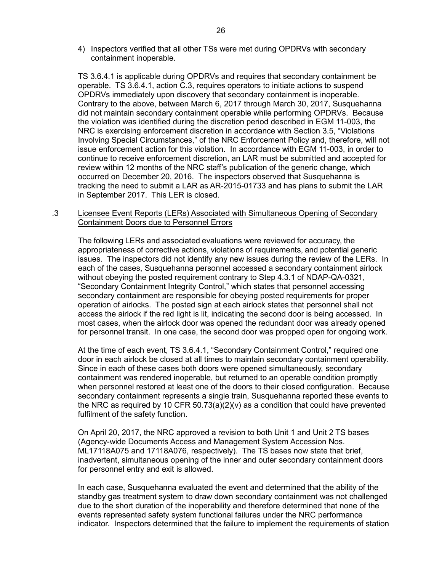4) Inspectors verified that all other TSs were met during OPDRVs with secondary containment inoperable.

TS 3.6.4.1 is applicable during OPDRVs and requires that secondary containment be operable. TS 3.6.4.1, action C.3, requires operators to initiate actions to suspend OPDRVs immediately upon discovery that secondary containment is inoperable. Contrary to the above, between March 6, 2017 through March 30, 2017, Susquehanna did not maintain secondary containment operable while performing OPDRVs. Because the violation was identified during the discretion period described in EGM 11-003, the NRC is exercising enforcement discretion in accordance with Section 3.5, "Violations Involving Special Circumstances," of the NRC Enforcement Policy and, therefore, will not issue enforcement action for this violation. In accordance with EGM 11-003, in order to continue to receive enforcement discretion, an LAR must be submitted and accepted for review within 12 months of the NRC staff's publication of the generic change, which occurred on December 20, 2016. The inspectors observed that Susquehanna is tracking the need to submit a LAR as AR-2015-01733 and has plans to submit the LAR in September 2017. This LER is closed.

#### .3 Licensee Event Reports (LERs) Associated with Simultaneous Opening of Secondary Containment Doors due to Personnel Errors

The following LERs and associated evaluations were reviewed for accuracy, the appropriateness of corrective actions, violations of requirements, and potential generic issues. The inspectors did not identify any new issues during the review of the LERs. In each of the cases, Susquehanna personnel accessed a secondary containment airlock without obeying the posted requirement contrary to Step 4.3.1 of NDAP-QA-0321, "Secondary Containment Integrity Control," which states that personnel accessing secondary containment are responsible for obeying posted requirements for proper operation of airlocks. The posted sign at each airlock states that personnel shall not access the airlock if the red light is lit, indicating the second door is being accessed. In most cases, when the airlock door was opened the redundant door was already opened for personnel transit. In one case, the second door was propped open for ongoing work.

At the time of each event, TS 3.6.4.1, "Secondary Containment Control," required one door in each airlock be closed at all times to maintain secondary containment operability. Since in each of these cases both doors were opened simultaneously, secondary containment was rendered inoperable, but returned to an operable condition promptly when personnel restored at least one of the doors to their closed configuration. Because secondary containment represents a single train, Susquehanna reported these events to the NRC as required by 10 CFR 50.73(a)(2)(v) as a condition that could have prevented fulfilment of the safety function.

On April 20, 2017, the NRC approved a revision to both Unit 1 and Unit 2 TS bases (Agency-wide Documents Access and Management System Accession Nos. ML17118A075 and 17118A076, respectively). The TS bases now state that brief, inadvertent, simultaneous opening of the inner and outer secondary containment doors for personnel entry and exit is allowed.

In each case, Susquehanna evaluated the event and determined that the ability of the standby gas treatment system to draw down secondary containment was not challenged due to the short duration of the inoperability and therefore determined that none of the events represented safety system functional failures under the NRC performance indicator. Inspectors determined that the failure to implement the requirements of station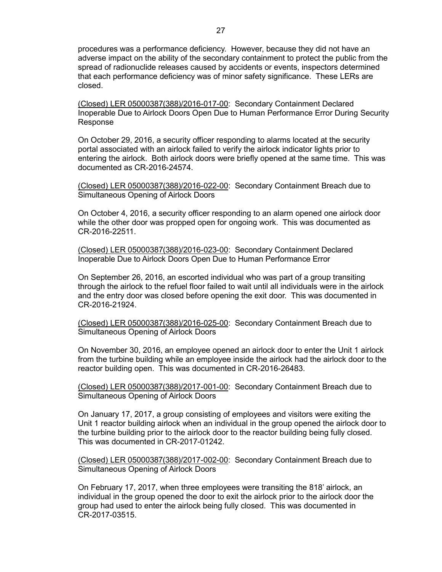procedures was a performance deficiency. However, because they did not have an adverse impact on the ability of the secondary containment to protect the public from the spread of radionuclide releases caused by accidents or events, inspectors determined that each performance deficiency was of minor safety significance. These LERs are closed.

(Closed) LER 05000387(388)/2016-017-00: Secondary Containment Declared Inoperable Due to Airlock Doors Open Due to Human Performance Error During Security Response

On October 29, 2016, a security officer responding to alarms located at the security portal associated with an airlock failed to verify the airlock indicator lights prior to entering the airlock. Both airlock doors were briefly opened at the same time. This was documented as CR-2016-24574.

(Closed) LER 05000387(388)/2016-022-00: Secondary Containment Breach due to Simultaneous Opening of Airlock Doors

On October 4, 2016, a security officer responding to an alarm opened one airlock door while the other door was propped open for ongoing work. This was documented as CR-2016-22511.

(Closed) LER 05000387(388)/2016-023-00: Secondary Containment Declared Inoperable Due to Airlock Doors Open Due to Human Performance Error

On September 26, 2016, an escorted individual who was part of a group transiting through the airlock to the refuel floor failed to wait until all individuals were in the airlock and the entry door was closed before opening the exit door. This was documented in CR-2016-21924.

(Closed) LER 05000387(388)/2016-025-00: Secondary Containment Breach due to Simultaneous Opening of Airlock Doors

On November 30, 2016, an employee opened an airlock door to enter the Unit 1 airlock from the turbine building while an employee inside the airlock had the airlock door to the reactor building open. This was documented in CR-2016-26483.

(Closed) LER 05000387(388)/2017-001-00: Secondary Containment Breach due to Simultaneous Opening of Airlock Doors

On January 17, 2017, a group consisting of employees and visitors were exiting the Unit 1 reactor building airlock when an individual in the group opened the airlock door to the turbine building prior to the airlock door to the reactor building being fully closed. This was documented in CR-2017-01242.

(Closed) LER 05000387(388)/2017-002-00: Secondary Containment Breach due to Simultaneous Opening of Airlock Doors

On February 17, 2017, when three employees were transiting the 818' airlock, an individual in the group opened the door to exit the airlock prior to the airlock door the group had used to enter the airlock being fully closed. This was documented in CR-2017-03515.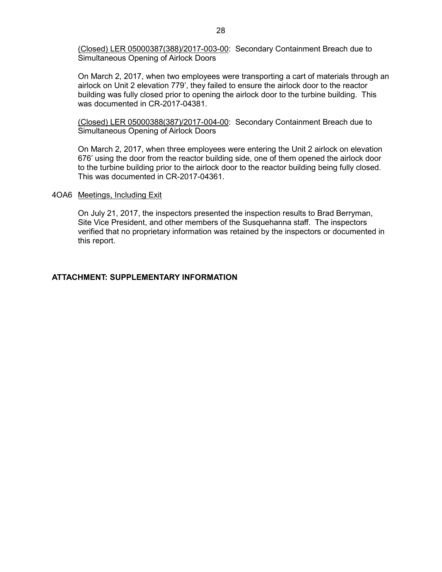(Closed) LER 05000387(388)/2017-003-00: Secondary Containment Breach due to Simultaneous Opening of Airlock Doors

On March 2, 2017, when two employees were transporting a cart of materials through an airlock on Unit 2 elevation 779', they failed to ensure the airlock door to the reactor building was fully closed prior to opening the airlock door to the turbine building. This was documented in CR-2017-04381.

(Closed) LER 05000388(387)/2017-004-00: Secondary Containment Breach due to Simultaneous Opening of Airlock Doors

On March 2, 2017, when three employees were entering the Unit 2 airlock on elevation 676' using the door from the reactor building side, one of them opened the airlock door to the turbine building prior to the airlock door to the reactor building being fully closed. This was documented in CR-2017-04361.

#### <span id="page-30-0"></span>4OA6 Meetings, Including Exit

On July 21, 2017, the inspectors presented the inspection results to Brad Berryman, Site Vice President, and other members of the Susquehanna staff. The inspectors verified that no proprietary information was retained by the inspectors or documented in this report.

#### **ATTACHMENT: SUPPLEMENTARY INFORMATION**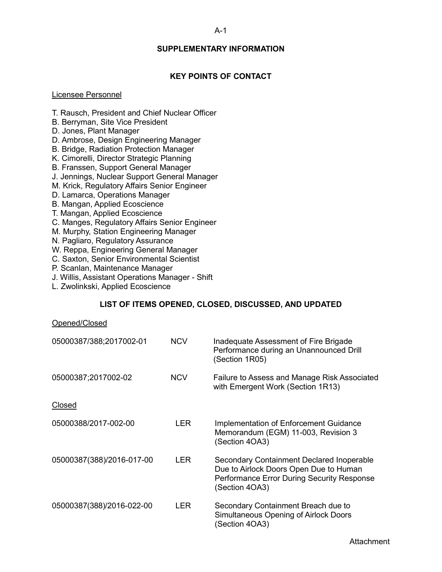#### A-1

### **SUPPLEMENTARY INFORMATION**

# **KEY POINTS OF CONTACT**

#### <span id="page-31-1"></span><span id="page-31-0"></span>Licensee Personnel

- T. Rausch, President and Chief Nuclear Officer
- B. Berryman, Site Vice President
- D. Jones, Plant Manager
- D. Ambrose, Design Engineering Manager
- B. Bridge, Radiation Protection Manager
- K. Cimorelli, Director Strategic Planning
- B. Franssen, Support General Manager
- J. Jennings, Nuclear Support General Manager
- M. Krick, Regulatory Affairs Senior Engineer
- D. Lamarca, Operations Manager
- B. Mangan, Applied Ecoscience
- T. Mangan, Applied Ecoscience
- C. Manges, Regulatory Affairs Senior Engineer
- M. Murphy, Station Engineering Manager
- N. Pagliaro, Regulatory Assurance
- W. Reppa, Engineering General Manager
- C. Saxton, Senior Environmental Scientist
- P. Scanlan, Maintenance Manager
- J. Willis, Assistant Operations Manager Shift
- <span id="page-31-2"></span>L. Zwolinkski, Applied Ecoscience

#### **LIST OF ITEMS OPENED, CLOSED, DISCUSSED, AND UPDATED**

#### Opened/Closed

| 05000387/388;2017002-01   | <b>NCV</b> | Inadequate Assessment of Fire Brigade<br>Performance during an Unannounced Drill<br>(Section 1R05)                                                  |
|---------------------------|------------|-----------------------------------------------------------------------------------------------------------------------------------------------------|
| 05000387;2017002-02       | <b>NCV</b> | Failure to Assess and Manage Risk Associated<br>with Emergent Work (Section 1R13)                                                                   |
| Closed                    |            |                                                                                                                                                     |
| 05000388/2017-002-00      | LER        | Implementation of Enforcement Guidance<br>Memorandum (EGM) 11-003, Revision 3<br>(Section 4OA3)                                                     |
| 05000387(388)/2016-017-00 | LER        | Secondary Containment Declared Inoperable<br>Due to Airlock Doors Open Due to Human<br>Performance Error During Security Response<br>(Section 4OA3) |
| 05000387(388)/2016-022-00 | LER        | Secondary Containment Breach due to<br>Simultaneous Opening of Airlock Doors<br>(Section 4OA3)                                                      |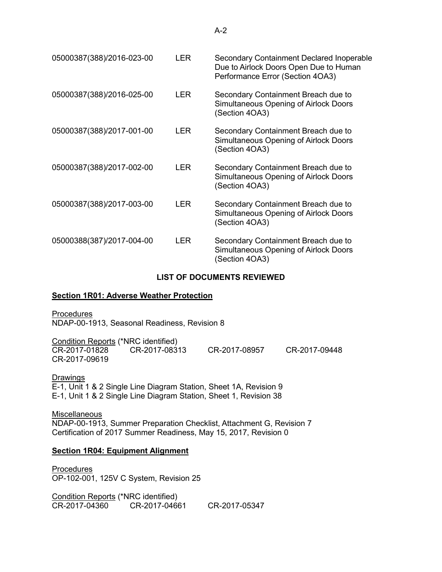| 05000387(388)/2016-023-00 | LER.       | Secondary Containment Declared Inoperable<br>Due to Airlock Doors Open Due to Human<br>Performance Error (Section 4OA3) |
|---------------------------|------------|-------------------------------------------------------------------------------------------------------------------------|
| 05000387(388)/2016-025-00 | LER.       | Secondary Containment Breach due to<br>Simultaneous Opening of Airlock Doors<br>(Section 4OA3)                          |
| 05000387(388)/2017-001-00 | LER.       | Secondary Containment Breach due to<br>Simultaneous Opening of Airlock Doors<br>(Section 4OA3)                          |
| 05000387(388)/2017-002-00 | <b>LER</b> | Secondary Containment Breach due to<br>Simultaneous Opening of Airlock Doors<br>(Section 4OA3)                          |
| 05000387(388)/2017-003-00 | LER.       | Secondary Containment Breach due to<br>Simultaneous Opening of Airlock Doors<br>(Section 4OA3)                          |
| 05000388(387)/2017-004-00 | I FR       | Secondary Containment Breach due to<br>Simultaneous Opening of Airlock Doors<br>(Section 4OA3)                          |

#### **LIST OF DOCUMENTS REVIEWED**

#### <span id="page-32-1"></span><span id="page-32-0"></span>**[Section 1R01: Adverse Weather Protection](#page-7-2)**

Procedures NDAP-00-1913, Seasonal Readiness, Revision 8

| Condition Reports (*NRC identified) |               |               |               |
|-------------------------------------|---------------|---------------|---------------|
| CR-2017-01828                       | CR-2017-08313 | CR-2017-08957 | CR-2017-09448 |
| CR-2017-09619                       |               |               |               |

Drawings E-1, Unit 1 & 2 Single Line Diagram Station, Sheet 1A, Revision 9 E-1, Unit 1 & 2 Single Line Diagram Station, Sheet 1, Revision 38

**Miscellaneous** NDAP-00-1913, Summer Preparation Checklist, Attachment G, Revision 7 Certification of 2017 Summer Readiness, May 15, 2017, Revision 0

#### <span id="page-32-2"></span>**[Section 1R04: Equipment Alignment](#page-8-1)**

**Procedures** OP-102-001, 125V C System, Revision 25

Condition Reports (\*NRC identified) CR-2017-04360 CR-2017-04661 CR-2017-05347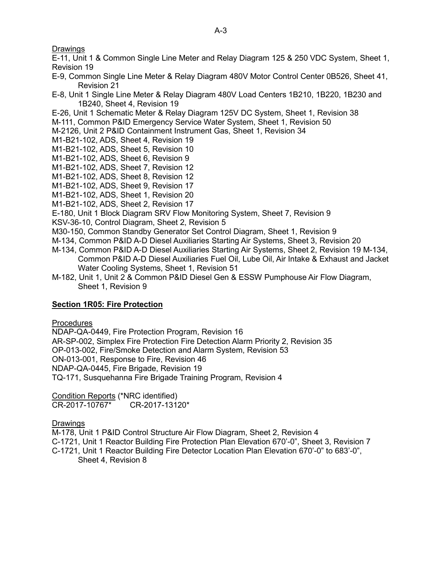**Drawings** 

- E-11, Unit 1 & Common Single Line Meter and Relay Diagram 125 & 250 VDC System, Sheet 1, Revision 19
- E-9, Common Single Line Meter & Relay Diagram 480V Motor Control Center 0B526, Sheet 41, Revision 21
- E-8, Unit 1 Single Line Meter & Relay Diagram 480V Load Centers 1B210, 1B220, 1B230 and 1B240, Sheet 4, Revision 19
- E-26, Unit 1 Schematic Meter & Relay Diagram 125V DC System, Sheet 1, Revision 38
- M-111, Common P&ID Emergency Service Water System, Sheet 1, Revision 50
- M-2126, Unit 2 P&ID Containment Instrument Gas, Sheet 1, Revision 34
- M1-B21-102, ADS, Sheet 4, Revision 19
- M1-B21-102, ADS, Sheet 5, Revision 10
- M1-B21-102, ADS, Sheet 6, Revision 9
- M1-B21-102, ADS, Sheet 7, Revision 12
- M1-B21-102, ADS, Sheet 8, Revision 12
- M1-B21-102, ADS, Sheet 9, Revision 17
- M1-B21-102, ADS, Sheet 1, Revision 20
- M1-B21-102, ADS, Sheet 2, Revision 17
- E-180, Unit 1 Block Diagram SRV Flow Monitoring System, Sheet 7, Revision 9
- KSV-36-10, Control Diagram, Sheet 2, Revision 5
- M30-150, Common Standby Generator Set Control Diagram, Sheet 1, Revision 9
- M-134, Common P&ID A-D Diesel Auxiliaries Starting Air Systems, Sheet 3, Revision 20
- M-134, Common P&ID A-D Diesel Auxiliaries Starting Air Systems, Sheet 2, Revision 19 M-134, Common P&ID A-D Diesel Auxiliaries Fuel Oil, Lube Oil, Air Intake & Exhaust and Jacket Water Cooling Systems, Sheet 1, Revision 51
- M-182, Unit 1, Unit 2 & Common P&ID Diesel Gen & ESSW Pumphouse Air Flow Diagram, Sheet 1, Revision 9

# <span id="page-33-0"></span>**[Section 1R05: Fire Protection](#page-9-1)**

**Procedures** 

NDAP-QA-0449, Fire Protection Program, Revision 16 AR-SP-002, Simplex Fire Protection Fire Detection Alarm Priority 2, Revision 35 OP-013-002, Fire/Smoke Detection and Alarm System, Revision 53 ON-013-001, Response to Fire, Revision 46 NDAP-QA-0445, Fire Brigade, Revision 19 TQ-171, Susquehanna Fire Brigade Training Program, Revision 4

Condition Reports (\*NRC identified) CR-2017-10767\* CR-2017-13120\*

Drawings

M-178, Unit 1 P&ID Control Structure Air Flow Diagram, Sheet 2, Revision 4 C-1721, Unit 1 Reactor Building Fire Protection Plan Elevation 670'-0", Sheet 3, Revision 7 C-1721, Unit 1 Reactor Building Fire Detector Location Plan Elevation 670'-0" to 683'-0", Sheet 4, Revision 8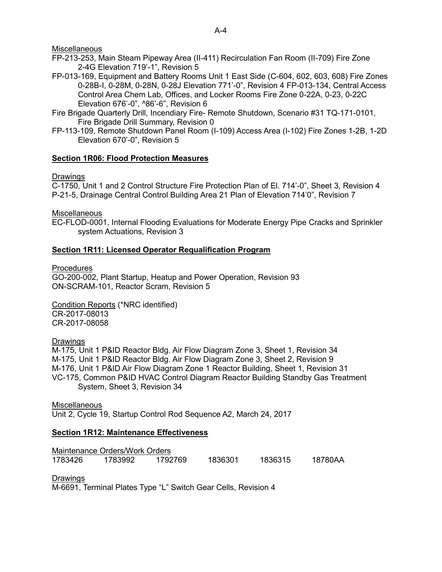**Miscellaneous** 

- FP-213-253, Main Steam Pipeway Area (II-411) Recirculation Fan Room (II-709) Fire Zone 2-4G Elevation 719'-1", Revision 5
- FP-013-169, Equipment and Battery Rooms Unit 1 East Side (C-604, 602, 603, 608) Fire Zones 0-28B-I, 0-28M, 0-28N, 0-28J Elevation 771'-0", Revision 4 FP-013-134, Central Access Control Area Chem Lab, Offices, and Locker Rooms Fire Zone 0-22A, 0-23, 0-22C Elevation 676'-0", ^86'-6", Revision 6
- Fire Brigade Quarterly Drill, Incendiary Fire- Remote Shutdown, Scenario #31 TQ-171-0101, Fire Brigade Drill Summary, Revision 0
- FP-113-109, Remote Shutdown Panel Room (I-109) Access Area (I-102) Fire Zones 1-2B, 1-2D Elevation 670'-0", Revision 5

# <span id="page-34-0"></span>**[Section 1R06: Flood Protection Measures](#page-12-1)**

# <span id="page-34-1"></span>Drawings

C-1750, Unit 1 and 2 Control Structure Fire Protection Plan of El. 714'-0", Sheet 3, Revision 4 P-21-5, Drainage Central Control Building Area 21 Plan of Elevation 714'0", Revision 7

**Miscellaneous** 

EC-FLOD-0001, Internal Flooding Evaluations for Moderate Energy Pipe Cracks and Sprinkler system Actuations, Revision 3

# **[Section 1R11: Licensed Operator Requalification Program](#page-13-1)**

Procedures

GO-200-002, Plant Startup, Heatup and Power Operation, Revision 93 ON-SCRAM-101, Reactor Scram, Revision 5

Condition Reports (\*NRC identified) CR-2017-08013 CR-2017-08058

### **Drawings**

M-175, Unit 1 P&ID Reactor Bldg. Air Flow Diagram Zone 3, Sheet 1, Revision 34 M-175, Unit 1 P&ID Reactor Bldg. Air Flow Diagram Zone 3, Sheet 2, Revision 9 M-176, Unit 1 P&ID Air Flow Diagram Zone 1 Reactor Building, Sheet 1, Revision 31 VC-175, Common P&ID HVAC Control Diagram Reactor Building Standby Gas Treatment System, Sheet 3, Revision 34

**Miscellaneous** Unit 2, Cycle 19, Startup Control Rod Sequence A2, March 24, 2017

# <span id="page-34-2"></span>**[Section 1R12: Maintenance Effectiveness](#page-14-2)**

Maintenance Orders/Work Orders 1783426 1783992 1792769 1836301 1836315 18780AA

### Drawings

M-6691, Terminal Plates Type "L" Switch Gear Cells, Revision 4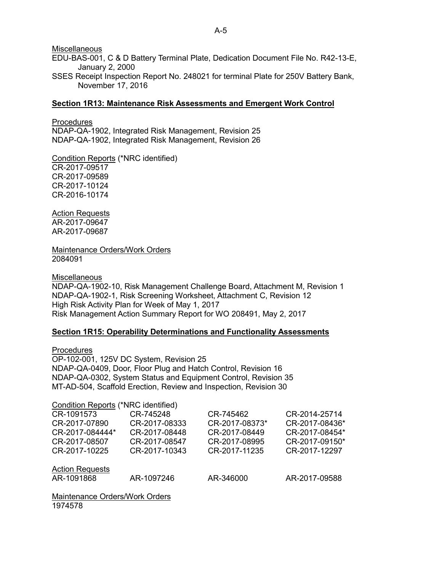Miscellaneous

EDU-BAS-001, C & D Battery Terminal Plate, Dedication Document File No. R42-13-E, January 2, 2000

SSES Receipt Inspection Report No. 248021 for terminal Plate for 250V Battery Bank, November 17, 2016

#### <span id="page-35-0"></span>**[Section 1R13: Maintenance Risk Assessments and Emergent Work Control](#page-14-3)**

Procedures NDAP-QA-1902, Integrated Risk Management, Revision 25 NDAP-QA-1902, Integrated Risk Management, Revision 26

Condition Reports (\*NRC identified) CR-2017-09517 CR-2017-09589 CR-2017-10124 CR-2016-10174

Action Requests AR-2017-09647 AR-2017-09687

Maintenance Orders/Work Orders 2084091

**Miscellaneous** 

NDAP-QA-1902-10, Risk Management Challenge Board, Attachment M, Revision 1 NDAP-QA-1902-1, Risk Screening Worksheet, Attachment C, Revision 12 High Risk Activity Plan for Week of May 1, 2017 Risk Management Action Summary Report for WO 208491, May 2, 2017

### <span id="page-35-1"></span>**[Section 1R15: Operability Determinations and Functionality Assessments](#page-18-2)**

Procedures OP-102-001, 125V DC System, Revision 25 NDAP-QA-0409, Door, Floor Plug and Hatch Control, Revision 16 NDAP-QA-0302, System Status and Equipment Control, Revision 35 MT-AD-504, Scaffold Erection, Review and Inspection, Revision 30

| <b>Condition Reports (*NRC identified)</b> |               |                |                |
|--------------------------------------------|---------------|----------------|----------------|
| CR-1091573                                 | CR-745248     | CR-745462      | CR-2014-25714  |
| CR-2017-07890                              | CR-2017-08333 | CR-2017-08373* | CR-2017-08436* |
| CR-2017-084444*                            | CR-2017-08448 | CR-2017-08449  | CR-2017-08454* |
| CR-2017-08507                              | CR-2017-08547 | CR-2017-08995  | CR-2017-09150* |
| CR-2017-10225                              | CR-2017-10343 | CR-2017-11235  | CR-2017-12297  |
|                                            |               |                |                |
| <b>Action Requests</b>                     |               |                |                |
| AR-1091868                                 | AR-1097246    | AR-346000      | AR-2017-09588  |
|                                            |               |                |                |

Maintenance Orders/Work Orders 1974578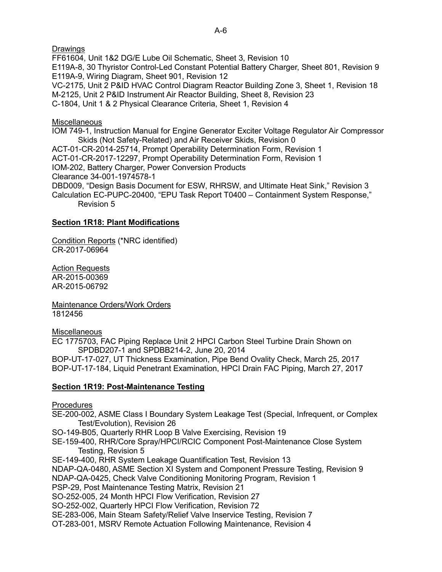FF61604, Unit 1&2 DG/E Lube Oil Schematic, Sheet 3, Revision 10 E119A-8, 30 Thyristor Control-Led Constant Potential Battery Charger, Sheet 801, Revision 9 E119A-9, Wiring Diagram, Sheet 901, Revision 12 VC-2175, Unit 2 P&ID HVAC Control Diagram Reactor Building Zone 3, Sheet 1, Revision 18 M-2125, Unit 2 P&ID Instrument Air Reactor Building, Sheet 8, Revision 23

C-1804, Unit 1 & 2 Physical Clearance Criteria, Sheet 1, Revision 4

# **Miscellaneous**

IOM 749-1, Instruction Manual for Engine Generator Exciter Voltage Regulator Air Compressor Skids (Not Safety-Related) and Air Receiver Skids, Revision 0 ACT-01-CR-2014-25714, Prompt Operability Determination Form, Revision 1 ACT-01-CR-2017-12297, Prompt Operability Determination Form, Revision 1 IOM-202, Battery Charger, Power Conversion Products Clearance 34-001-1974578-1 DBD009, "Design Basis Document for ESW, RHRSW, and Ultimate Heat Sink," Revision 3 Calculation EC-PUPC-20400, "EPU Task Report T0400 – Containment System Response,"

Revision 5

# <span id="page-36-0"></span>**[Section 1R18: Plant Modifications](#page-18-3)**

Condition Reports (\*NRC identified) CR-2017-06964

Action Requests AR-2015-00369 AR-2015-06792

Maintenance Orders/Work Orders 1812456

**Miscellaneous** 

EC 1775703, FAC Piping Replace Unit 2 HPCI Carbon Steel Turbine Drain Shown on SPDBD207-1 and SPDBB214-2, June 20, 2014

BOP-UT-17-027, UT Thickness Examination, Pipe Bend Ovality Check, March 25, 2017 BOP-UT-17-184, Liquid Penetrant Examination, HPCI Drain FAC Piping, March 27, 2017

# <span id="page-36-1"></span>**[Section 1R19: Post-Maintenance Testing](#page-19-2)**

**Procedures** 

SE-200-002, ASME Class I Boundary System Leakage Test (Special, Infrequent, or Complex Test/Evolution), Revision 26

SO-149-B05, Quarterly RHR Loop B Valve Exercising, Revision 19

SE-159-400, RHR/Core Spray/HPCI/RCIC Component Post-Maintenance Close System Testing, Revision 5

SE-149-400, RHR System Leakage Quantification Test, Revision 13 NDAP-QA-0480, ASME Section XI System and Component Pressure Testing, Revision 9 NDAP-QA-0425, Check Valve Conditioning Monitoring Program, Revision 1 PSP-29, Post Maintenance Testing Matrix, Revision 21 SO-252-005, 24 Month HPCI Flow Verification, Revision 27 SO-252-002, Quarterly HPCI Flow Verification, Revision 72 SE-283-006, Main Steam Safety/Relief Valve Inservice Testing, Revision 7 OT-283-001, MSRV Remote Actuation Following Maintenance, Revision 4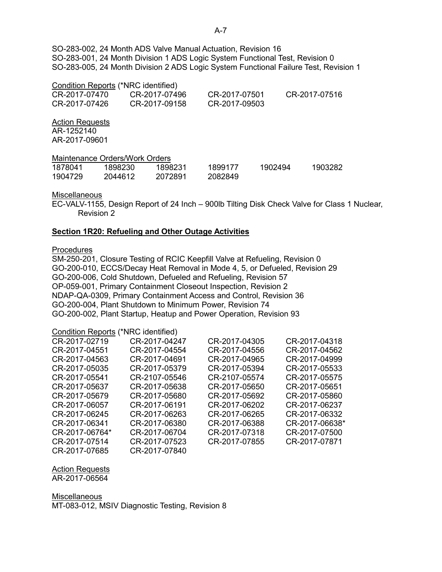SO-283-002, 24 Month ADS Valve Manual Actuation, Revision 16 SO-283-001, 24 Month Division 1 ADS Logic System Functional Test, Revision 0 SO-283-005, 24 Month Division 2 ADS Logic System Functional Failure Test, Revision 1

### Condition Reports (\*NRC identified)

| CR-2017-07470 | CR-2017-07496 | CR-2017-07501 | CR-2017-07516 |
|---------------|---------------|---------------|---------------|
| CR-2017-07426 | CR-2017-09158 | CR-2017-09503 |               |

Action Requests AR-1252140 AR-2017-09601

Maintenance Orders/Work Orders

| 1878041 | 1898230 | 1898231 | 1899177 | 1902494 | 1903282 |
|---------|---------|---------|---------|---------|---------|
| 1904729 | 2044612 | 2072891 | 2082849 |         |         |

#### **Miscellaneous**

EC-VALV-1155, Design Report of 24 Inch – 900lb Tilting Disk Check Valve for Class 1 Nuclear, Revision 2

### <span id="page-37-0"></span>**[Section 1R20: Refueling and Other Outage Activities](#page-19-3)**

### **Procedures**

SM-250-201, Closure Testing of RCIC Keepfill Valve at Refueling, Revision 0 GO-200-010, ECCS/Decay Heat Removal in Mode 4, 5, or Defueled, Revision 29 GO-200-006, Cold Shutdown, Defueled and Refueling, Revision 57 OP-059-001, Primary Containment Closeout Inspection, Revision 2 NDAP-QA-0309, Primary Containment Access and Control, Revision 36 GO-200-004, Plant Shutdown to Minimum Power, Revision 74 GO-200-002, Plant Startup, Heatup and Power Operation, Revision 93

# Condition Reports (\*NRC identified)

| CR-2017-02719  | CR-2017-04247 | CR-2017-04305 | CR-2017-04318  |
|----------------|---------------|---------------|----------------|
| CR-2017-04551  | CR-2017-04554 | CR-2017-04556 | CR-2017-04562  |
| CR-2017-04563  | CR-2017-04691 | CR-2017-04965 | CR-2017-04999  |
| CR-2017-05035  | CR-2017-05379 | CR-2017-05394 | CR-2017-05533  |
| CR-2017-05541  | CR-2107-05546 | CR-2107-05574 | CR-2017-05575  |
| CR-2017-05637  | CR-2017-05638 | CR-2017-05650 | CR-2017-05651  |
| CR-2017-05679  | CR-2017-05680 | CR-2017-05692 | CR-2017-05860  |
| CR-2017-06057  | CR-2017-06191 | CR-2017-06202 | CR-2017-06237  |
| CR-2017-06245  | CR-2017-06263 | CR-2017-06265 | CR-2017-06332  |
| CR-2017-06341  | CR-2017-06380 | CR-2017-06388 | CR-2017-06638* |
| CR-2017-06764* | CR-2017-06704 | CR-2017-07318 | CR-2017-07500  |
| CR-2017-07514  | CR-2017-07523 | CR-2017-07855 | CR-2017-07871  |
| CR-2017-07685  | CR-2017-07840 |               |                |

# Action Requests

AR-2017-06564

<span id="page-37-1"></span>**Miscellaneous** MT-083-012, MSIV Diagnostic Testing, Revision 8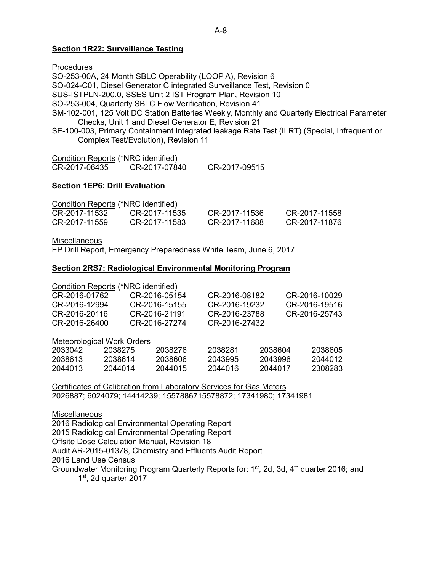### **[Section 1R22: Surveillance Testing](#page-20-1)**

**Procedures** 

SO-253-00A, 24 Month SBLC Operability (LOOP A), Revision 6 SO-024-C01, Diesel Generator C integrated Surveillance Test, Revision 0 SUS-ISTPLN-200.0, SSES Unit 2 IST Program Plan, Revision 10 SO-253-004, Quarterly SBLC Flow Verification, Revision 41 SM-102-001, 125 Volt DC Station Batteries Weekly, Monthly and Quarterly Electrical Parameter Checks, Unit 1 and Diesel Generator E, Revision 21 SE-100-003, Primary Containment Integrated leakage Rate Test (ILRT) (Special, Infrequent or Complex Test/Evolution), Revision 11

| <b>Condition Reports (*NRC identified)</b> |               |               |
|--------------------------------------------|---------------|---------------|
| CR-2017-06435                              | CR-2017-07840 | CR-2017-09515 |

#### <span id="page-38-0"></span>**[Section 1EP6: Drill Evaluation](#page-21-3)**

| Condition Reports (*NRC identified) |               |               |               |
|-------------------------------------|---------------|---------------|---------------|
| CR-2017-11532                       | CR-2017-11535 | CR-2017-11536 | CR-2017-11558 |
| CR-2017-11559                       | CR-2017-11583 | CR-2017-11688 | CR-2017-11876 |

**Miscellaneous** 

EP Drill Report, Emergency Preparedness White Team, June 6, 2017

#### **Section 2RS7: Radiological Environmental Monitoring Program**

| Condition Reports (*NRC identified) |               |               |               |
|-------------------------------------|---------------|---------------|---------------|
| CR-2016-01762                       | CR-2016-05154 | CR-2016-08182 | CR-2016-10029 |
| CR-2016-12994                       | CR-2016-15155 | CR-2016-19232 | CR-2016-19516 |
| CR-2016-20116                       | CR-2016-21191 | CR-2016-23788 | CR-2016-25743 |
| CR-2016-26400                       | CR-2016-27274 | CR-2016-27432 |               |

#### Meteorological Work Orders

| 2033042 | 2038275 | 2038276 | 2038281 | 2038604 | 2038605 |
|---------|---------|---------|---------|---------|---------|
| 2038613 | 2038614 | 2038606 | 2043995 | 2043996 | 2044012 |
| 2044013 | 2044014 | 2044015 | 2044016 | 2044017 | 2308283 |

Certificates of Calibration from Laboratory Services for Gas Meters 2026887; 6024079; 14414239; 1557886715578872; 17341980; 17341981

**Miscellaneous** 

2016 Radiological Environmental Operating Report 2015 Radiological Environmental Operating Report Offsite Dose Calculation Manual, Revision 18 Audit AR-2015-01378, Chemistry and Effluents Audit Report 2016 Land Use Census

<span id="page-38-1"></span>Groundwater Monitoring Program Quarterly Reports for:  $1<sup>st</sup>$ , 2d, 3d,  $4<sup>th</sup>$  quarter 2016; and  $1<sup>st</sup>$ , 2d quarter 2017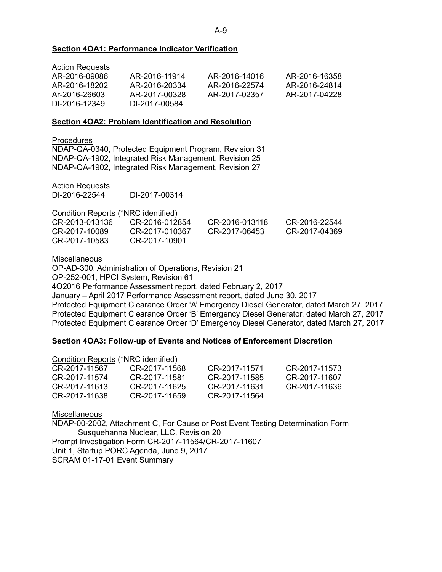#### **[Section 4OA1: Performance Indicator Verification](#page-22-2)**

| <b>Action Requests</b> |               |               |               |
|------------------------|---------------|---------------|---------------|
| AR-2016-09086          | AR-2016-11914 | AR-2016-14016 | AR-2016-16358 |
| AR-2016-18202          | AR-2016-20334 | AR-2016-22574 | AR-2016-24814 |
| Ar-2016-26603          | AR-2017-00328 | AR-2017-02357 | AR-2017-04228 |
| DI-2016-12349          | DI-2017-00584 |               |               |

#### <span id="page-39-0"></span>**[Section 4OA2: Problem Identification and Resolution](#page-23-1)**

**Procedures** 

NDAP-QA-0340, Protected Equipment Program, Revision 31 NDAP-QA-1902, Integrated Risk Management, Revision 25 NDAP-QA-1902, Integrated Risk Management, Revision 27

|--|

DI-2016-22544 DI-2017-00314

Condition Reports (\*NRC identified)

| CR-2013-013136 | CR-2016-012854 | CR-2016-013118 | CR-2016-22544 |
|----------------|----------------|----------------|---------------|
| CR-2017-10089  | CR-2017-010367 | CR-2017-06453  | CR-2017-04369 |
| CR-2017-10583  | CR-2017-10901  |                |               |

**Miscellaneous** 

OP-AD-300, Administration of Operations, Revision 21 OP-252-001, HPCI System, Revision 61 4Q2016 Performance Assessment report, dated February 2, 2017 January – April 2017 Performance Assessment report, dated June 30, 2017 Protected Equipment Clearance Order 'A' Emergency Diesel Generator, dated March 27, 2017 Protected Equipment Clearance Order 'B' Emergency Diesel Generator, dated March 27, 2017 Protected Equipment Clearance Order 'D' Emergency Diesel Generator, dated March 27, 2017

### <span id="page-39-1"></span>**[Section 4OA3: Follow-up of Events and Notices of](#page-26-1) Enforcement Discretion**

| <b>Condition Reports (*NRC identified)</b> |               |               |
|--------------------------------------------|---------------|---------------|
| CR-2017-11568                              | CR-2017-11571 | CR-2017-11573 |
| CR-2017-11581                              | CR-2017-11585 | CR-2017-11607 |
| CR-2017-11625                              | CR-2017-11631 | CR-2017-11636 |
| CR-2017-11659                              | CR-2017-11564 |               |
|                                            |               |               |

### **Miscellaneous**

NDAP-00-2002, Attachment C, For Cause or Post Event Testing Determination Form Susquehanna Nuclear, LLC, Revision 20 Prompt Investigation Form CR-2017-11564/CR-2017-11607 Unit 1, Startup PORC Agenda, June 9, 2017 SCRAM 01-17-01 Event Summary